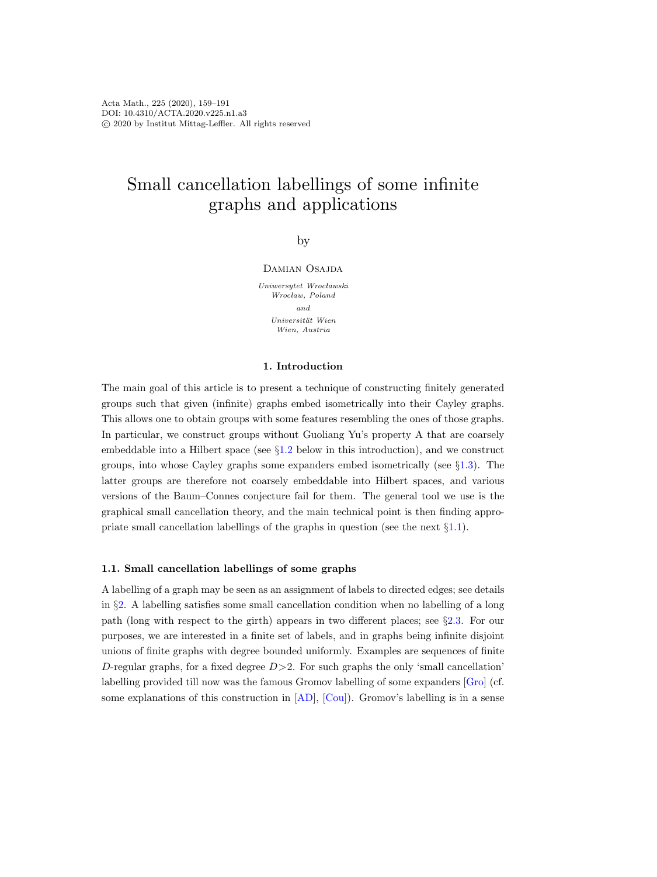# Small cancellation labellings of some infinite graphs and applications

by

Damian Osajda

Uniwersytet Wrocławski Wrocław, Poland and Universität Wien Wien, Austria

#### 1. Introduction

The main goal of this article is to present a technique of constructing finitely generated groups such that given (infinite) graphs embed isometrically into their Cayley graphs. This allows one to obtain groups with some features resembling the ones of those graphs. In particular, we construct groups without Guoliang Yu's property A that are coarsely embeddable into a Hilbert space (see §[1.2](#page-1-0) below in this introduction), and we construct groups, into whose Cayley graphs some expanders embed isometrically (see §[1.3\)](#page-3-0). The latter groups are therefore not coarsely embeddable into Hilbert spaces, and various versions of the Baum–Connes conjecture fail for them. The general tool we use is the graphical small cancellation theory, and the main technical point is then finding appropriate small cancellation labellings of the graphs in question (see the next §[1.1\)](#page-0-0).

#### <span id="page-0-0"></span>1.1. Small cancellation labellings of some graphs

A labelling of a graph may be seen as an assignment of labels to directed edges; see details in §[2.](#page-4-0) A labelling satisfies some small cancellation condition when no labelling of a long path (long with respect to the girth) appears in two different places; see §[2.3.](#page-14-0) For our purposes, we are interested in a finite set of labels, and in graphs being infinite disjoint unions of finite graphs with degree bounded uniformly. Examples are sequences of finite D-regular graphs, for a fixed degree  $D > 2$ . For such graphs the only 'small cancellation' labelling provided till now was the famous Gromov labelling of some expanders [\[Gro\]](#page-31-0) (cf. some explanations of this construction in [\[AD\]](#page-30-0), [\[Cou\]](#page-31-1)). Gromov's labelling is in a sense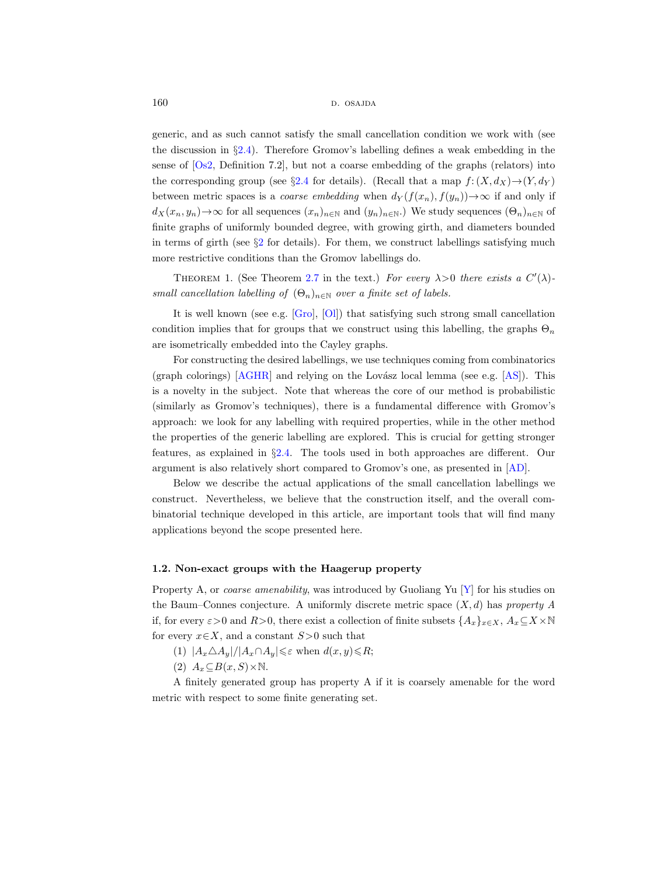160 d. osajda d. osajda d. osajda d. osajda d. osajda d. osajda d. osajda d. osajda d. osajda d. osajda d. osa

generic, and as such cannot satisfy the small cancellation condition we work with (see the discussion in §[2.4\)](#page-14-1). Therefore Gromov's labelling defines a weak embedding in the sense of [\[Os2,](#page-31-2) Definition 7.2], but not a coarse embedding of the graphs (relators) into the corresponding group (see §[2.4](#page-14-1) for details). (Recall that a map  $f: (X, d_X) \rightarrow (Y, d_Y)$ between metric spaces is a *coarse embedding* when  $d_Y(f(x_n), f(y_n)) \to \infty$  if and only if  $d_X(x_n, y_n) \to \infty$  for all sequences  $(x_n)_{n \in \mathbb{N}}$  and  $(y_n)_{n \in \mathbb{N}}$ .) We study sequences  $(\Theta_n)_{n \in \mathbb{N}}$  of finite graphs of uniformly bounded degree, with growing girth, and diameters bounded in terms of girth (see  $\S2$  $\S2$  for details). For them, we construct labellings satisfying much more restrictive conditions than the Gromov labellings do.

<span id="page-1-1"></span>THEOREM 1. (See Theorem [2.7](#page-14-2) in the text.) For every  $\lambda > 0$  there exists a  $C'(\lambda)$ small cancellation labelling of  $(\Theta_n)_{n\in\mathbb{N}}$  over a finite set of labels.

It is well known (see e.g. [\[Gro\]](#page-31-0), [\[Ol\]](#page-31-3)) that satisfying such strong small cancellation condition implies that for groups that we construct using this labelling, the graphs  $\Theta_n$ are isometrically embedded into the Cayley graphs.

For constructing the desired labellings, we use techniques coming from combinatorics (graph colorings)  $[AGHR]$  and relying on the Lovász local lemma (see e.g. [\[AS\]](#page-30-2)). This is a novelty in the subject. Note that whereas the core of our method is probabilistic (similarly as Gromov's techniques), there is a fundamental difference with Gromov's approach: we look for any labelling with required properties, while in the other method the properties of the generic labelling are explored. This is crucial for getting stronger features, as explained in §[2.4.](#page-14-1) The tools used in both approaches are different. Our argument is also relatively short compared to Gromov's one, as presented in [\[AD\]](#page-30-0).

Below we describe the actual applications of the small cancellation labellings we construct. Nevertheless, we believe that the construction itself, and the overall combinatorial technique developed in this article, are important tools that will find many applications beyond the scope presented here.

#### <span id="page-1-0"></span>1.2. Non-exact groups with the Haagerup property

Property A, or *coarse amenability*, was introduced by Guoliang Yu  $[Y]$  for his studies on the Baum–Connes conjecture. A uniformly discrete metric space  $(X, d)$  has property A if, for every  $\varepsilon > 0$  and  $R>0$ , there exist a collection of finite subsets  $\{A_x\}_{x\in X}$ ,  $A_x\subseteq X\times \mathbb{N}$ for every  $x \in X$ , and a constant  $S > 0$  such that

(1)  $|A_x \triangle A_y|/|A_x \cap A_y| \leq \varepsilon$  when  $d(x, y) \leq R$ ;

(2)  $A_x \subseteq B(x, S) \times \mathbb{N}$ .

A finitely generated group has property A if it is coarsely amenable for the word metric with respect to some finite generating set.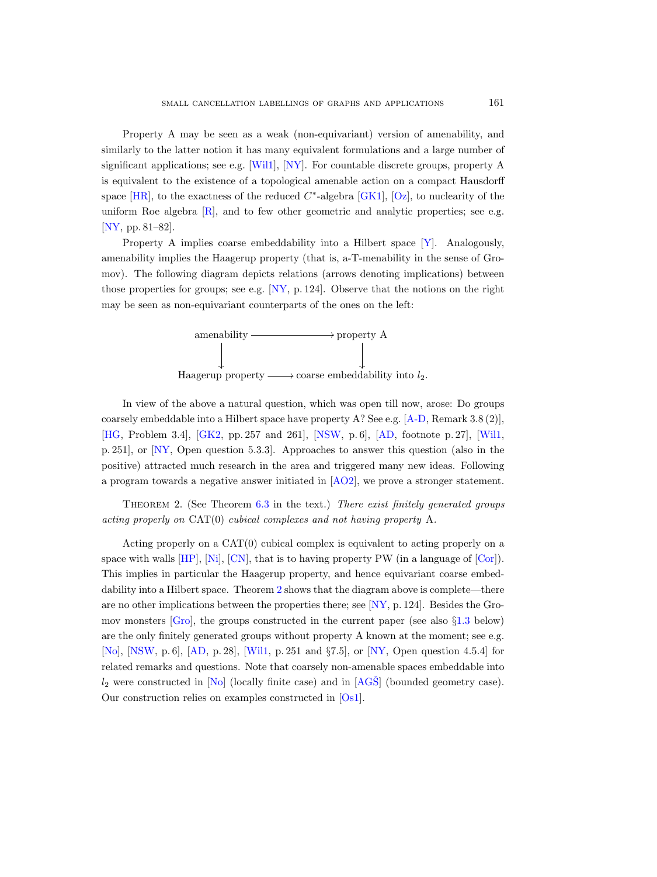Property A may be seen as a weak (non-equivariant) version of amenability, and similarly to the latter notion it has many equivalent formulations and a large number of significant applications; see e.g. [\[Wil1\]](#page-32-1), [\[NY\]](#page-31-4). For countable discrete groups, property A is equivalent to the existence of a topological amenable action on a compact Hausdorff space [\[HR\]](#page-31-5), to the exactness of the reduced  $C^*$ -algebra [\[GK1\]](#page-31-6), [\[Oz\]](#page-32-2), to nuclearity of the uniform Roe algebra [\[R\]](#page-32-3), and to few other geometric and analytic properties; see e.g. [\[NY,](#page-31-4) pp. 81–82].

Property A implies coarse embeddability into a Hilbert space [\[Y\]](#page-32-0). Analogously, amenability implies the Haagerup property (that is, a-T-menability in the sense of Gromov). The following diagram depicts relations (arrows denoting implications) between those properties for groups; see e.g.  $[NY, p. 124]$ . Observe that the notions on the right may be seen as non-equivariant counterparts of the ones on the left:



In view of the above a natural question, which was open till now, arose: Do groups coarsely embeddable into a Hilbert space have property A? See e.g. [\[A-D,](#page-30-3) Remark 3.8 (2)], [\[HG,](#page-31-7) Problem 3.4], [\[GK2,](#page-31-8) pp. 257 and 261], [\[NSW,](#page-31-9) p. 6], [\[AD,](#page-30-0) footnote p. 27], [\[Wil1,](#page-32-1) p. 251], or [\[NY,](#page-31-4) Open question 5.3.3]. Approaches to answer this question (also in the positive) attracted much research in the area and triggered many new ideas. Following a program towards a negative answer initiated in [\[AO2\]](#page-30-4), we prove a stronger statement.

<span id="page-2-0"></span>Theorem 2. (See Theorem [6.3](#page-30-5) in the text.) There exist finitely generated groups acting properly on CAT(0) cubical complexes and not having property A.

Acting properly on a CAT(0) cubical complex is equivalent to acting properly on a space with walls  $[HP], [Ni], [CN],$  $[HP], [Ni], [CN],$  $[HP], [Ni], [CN],$  $[HP], [Ni], [CN],$  $[HP], [Ni], [CN],$  that is to having property PW (in a language of  $[Cor]$ ). This implies in particular the Haagerup property, and hence equivariant coarse embeddability into a Hilbert space. Theorem [2](#page-2-0) shows that the diagram above is complete—there are no other implications between the properties there; see [\[NY,](#page-31-4) p. 124]. Besides the Gromov monsters  $[Gro]$ , the groups constructed in the current paper (see also  $\S1.3$  $\S1.3$  below) are the only finitely generated groups without property A known at the moment; see e.g. [\[No\]](#page-31-14), [\[NSW,](#page-31-9) p. 6], [\[AD,](#page-30-0) p. 28], [\[Wil1,](#page-32-1) p. 251 and §7.5], or [\[NY,](#page-31-4) Open question 4.5.4] for related remarks and questions. Note that coarsely non-amenable spaces embeddable into  $l_2$  were constructed in [\[No\]](#page-31-14) (locally finite case) and in [AGS̆] (bounded geometry case). Our construction relies on examples constructed in [\[Os1\]](#page-31-15).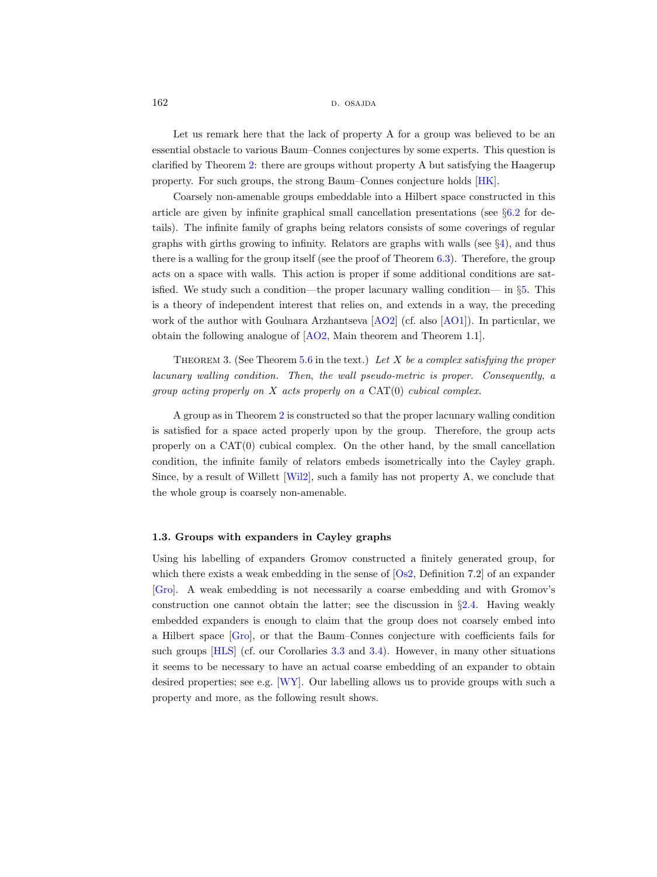162 d. osajda b. osajda b. osajda b. osajda b. osajda b. osajda b. osajda b. osajda b. osajda b. osajda b. osa

Let us remark here that the lack of property A for a group was believed to be an essential obstacle to various Baum–Connes conjectures by some experts. This question is clarified by Theorem [2:](#page-2-0) there are groups without property A but satisfying the Haagerup property. For such groups, the strong Baum–Connes conjecture holds [\[HK\]](#page-31-16).

Coarsely non-amenable groups embeddable into a Hilbert space constructed in this article are given by infinite graphical small cancellation presentations (see §[6.2](#page-29-0) for details). The infinite family of graphs being relators consists of some coverings of regular graphs with girths growing to infinity. Relators are graphs with walls (see §[4\)](#page-19-0), and thus there is a walling for the group itself (see the proof of Theorem [6.3\)](#page-30-5). Therefore, the group acts on a space with walls. This action is proper if some additional conditions are satisfied. We study such a condition—the proper lacunary walling condition— in §[5.](#page-20-0) This is a theory of independent interest that relies on, and extends in a way, the preceding work of the author with Goulnara Arzhantseva [\[AO2\]](#page-30-4) (cf. also [\[AO1\]](#page-30-7)). In particular, we obtain the following analogue of [\[AO2,](#page-30-4) Main theorem and Theorem 1.1].

<span id="page-3-1"></span>THEOREM 3. (See Theorem [5.6](#page-25-0) in the text.) Let X be a complex satisfying the proper lacunary walling condition. Then, the wall pseudo-metric is proper. Consequently, a group acting properly on  $X$  acts properly on a  $CAT(0)$  cubical complex.

A group as in Theorem [2](#page-2-0) is constructed so that the proper lacunary walling condition is satisfied for a space acted properly upon by the group. Therefore, the group acts properly on a CAT(0) cubical complex. On the other hand, by the small cancellation condition, the infinite family of relators embeds isometrically into the Cayley graph. Since, by a result of Willett [\[Wil2\]](#page-32-4), such a family has not property A, we conclude that the whole group is coarsely non-amenable.

#### <span id="page-3-0"></span>1.3. Groups with expanders in Cayley graphs

Using his labelling of expanders Gromov constructed a finitely generated group, for which there exists a weak embedding in the sense of [\[Os2,](#page-31-2) Definition 7.2] of an expander [\[Gro\]](#page-31-0). A weak embedding is not necessarily a coarse embedding and with Gromov's construction one cannot obtain the latter; see the discussion in §[2.4.](#page-14-1) Having weakly embedded expanders is enough to claim that the group does not coarsely embed into a Hilbert space [\[Gro\]](#page-31-0), or that the Baum–Connes conjecture with coefficients fails for such groups [\[HLS\]](#page-31-17) (cf. our Corollaries [3.3](#page-18-0) and [3.4\)](#page-18-1). However, in many other situations it seems to be necessary to have an actual coarse embedding of an expander to obtain desired properties; see e.g. [\[WY\]](#page-32-5). Our labelling allows us to provide groups with such a property and more, as the following result shows.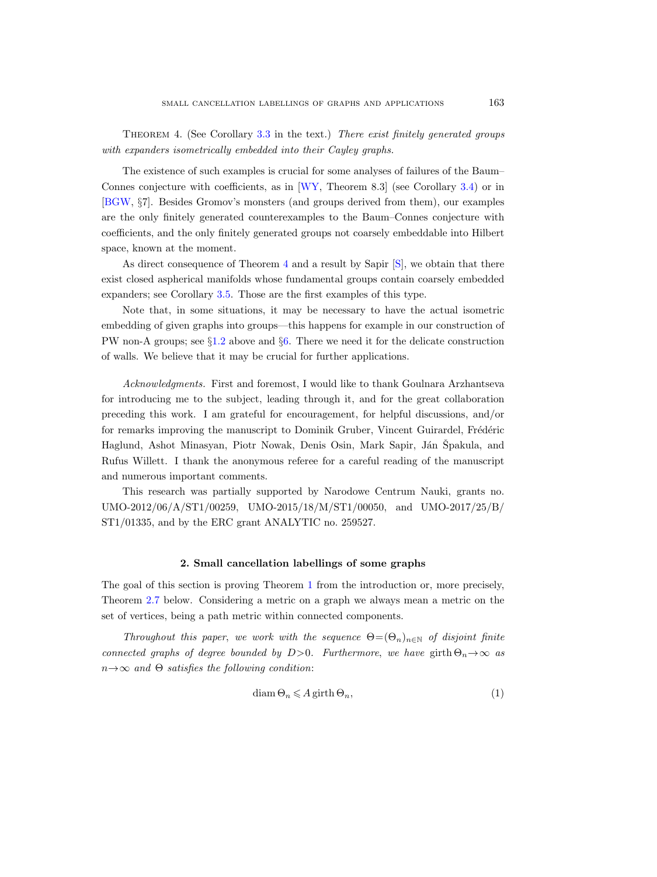<span id="page-4-1"></span>Theorem 4. (See Corollary [3.3](#page-18-0) in the text.) There exist finitely generated groups with expanders isometrically embedded into their Cayley graphs.

The existence of such examples is crucial for some analyses of failures of the Baum– Connes conjecture with coefficients, as in [\[WY,](#page-32-5) Theorem 8.3] (see Corollary [3.4\)](#page-18-1) or in [\[BGW,](#page-31-18) §7]. Besides Gromov's monsters (and groups derived from them), our examples are the only finitely generated counterexamples to the Baum–Connes conjecture with coefficients, and the only finitely generated groups not coarsely embeddable into Hilbert space, known at the moment.

As direct consequence of Theorem [4](#page-4-1) and a result by Sapir [\[S\]](#page-32-6), we obtain that there exist closed aspherical manifolds whose fundamental groups contain coarsely embedded expanders; see Corollary [3.5.](#page-19-1) Those are the first examples of this type.

Note that, in some situations, it may be necessary to have the actual isometric embedding of given graphs into groups—this happens for example in our construction of PW non-A groups; see §[1.2](#page-1-0) above and §[6.](#page-26-0) There we need it for the delicate construction of walls. We believe that it may be crucial for further applications.

Acknowledgments. First and foremost, I would like to thank Goulnara Arzhantseva for introducing me to the subject, leading through it, and for the great collaboration preceding this work. I am grateful for encouragement, for helpful discussions, and/or for remarks improving the manuscript to Dominik Gruber, Vincent Guirardel, Frédéric Haglund, Ashot Minasyan, Piotr Nowak, Denis Osin, Mark Sapir, Ján Špakula, and Rufus Willett. I thank the anonymous referee for a careful reading of the manuscript and numerous important comments.

This research was partially supported by Narodowe Centrum Nauki, grants no. UMO-2012/06/A/ST1/00259, UMO-2015/18/M/ST1/00050, and UMO-2017/25/B/ ST1/01335, and by the ERC grant ANALYTIC no. 259527.

#### 2. Small cancellation labellings of some graphs

<span id="page-4-0"></span>The goal of this section is proving Theorem [1](#page-1-1) from the introduction or, more precisely, Theorem [2.7](#page-14-2) below. Considering a metric on a graph we always mean a metric on the set of vertices, being a path metric within connected components.

Throughout this paper, we work with the sequence  $\Theta = (\Theta_n)_{n \in \mathbb{N}}$  of disjoint finite connected graphs of degree bounded by D>0. Furthermore, we have girth  $\Theta_n \to \infty$  as  $n \rightarrow \infty$  and  $\Theta$  satisfies the following condition:

<span id="page-4-2"></span>
$$
diam \Theta_n \leqslant A \operatorname{girth} \Theta_n,\tag{1}
$$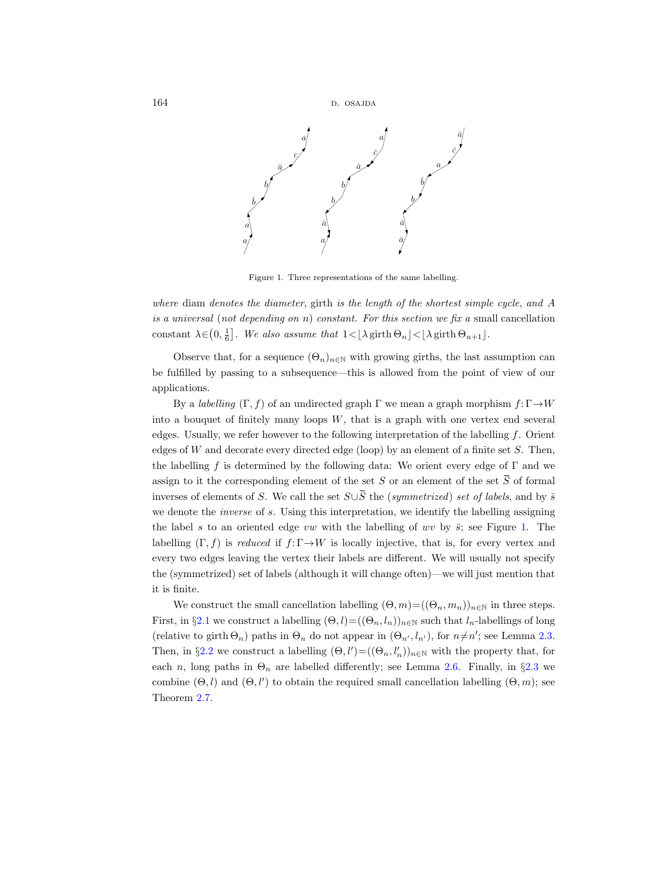

<span id="page-5-0"></span>Figure 1. Three representations of the same labelling.

where diam denotes the diameter, girth is the length of the shortest simple cycle, and A is a universal (not depending on n) constant. For this section we fix a small cancellation constant  $\lambda \in (0, \frac{1}{6}]$ . We also assume that  $1 < |\lambda \text{ girth } \Theta_n$   $| < |\lambda \text{ girth } \Theta_{n+1}|$ .

Observe that, for a sequence  $(\Theta_n)_{n\in\mathbb{N}}$  with growing girths, the last assumption can be fulfilled by passing to a subsequence—this is allowed from the point of view of our applications.

By a *labelling*  $(\Gamma, f)$  of an undirected graph  $\Gamma$  we mean a graph morphism  $f: \Gamma \rightarrow W$ into a bouquet of finitely many loops  $W$ , that is a graph with one vertex end several edges. Usually, we refer however to the following interpretation of the labelling f. Orient edges of W and decorate every directed edge (loop) by an element of a finite set  $S$ . Then, the labelling f is determined by the following data: We orient every edge of  $\Gamma$  and we is a universal (not depending on n) constant. For this section we fix a small cancellation<br>constant  $\lambda \in (0, \frac{1}{6}]$ . We also assume that  $1 < \lfloor \lambda \text{ girth } \Theta_n \rfloor < \lfloor \lambda \text{ girth } \Theta_{n+1} \rfloor$ .<br>Observe that, for a sequence  $(\Theta_n)_{n \in$ constant  $\lambda \in (0, \frac{1}{6}]$ . We also assume that  $1 < |\lambda \text{ girth } \Theta_n| < |\lambda \text{ girth } \Theta_{n+1}|$ .<br>
Observe that, for a sequence  $(\Theta_n)_{n \in \mathbb{N}}$  with growing girths, the last assumption can<br>
be fulfilled by passing to a subsequence—this i we denote the *inverse* of s. Using this interpretation, we identify the labelling assigning the label s to an oriented edge vw with the labelling of wv by  $\bar{s}$ ; see Figure [1.](#page-5-0) The labelling  $(\Gamma, f)$  is reduced if  $f: \Gamma \rightarrow W$  is locally injective, that is, for every vertex and every two edges leaving the vertex their labels are different. We will usually not specify the (symmetrized) set of labels (although it will change often)—we will just mention that it is finite.

We construct the small cancellation labelling  $(\Theta, m) = ((\Theta_n, m_n))_{n \in \mathbb{N}}$  in three steps. First, in §[2.1](#page-6-0) we construct a labelling  $(\Theta, l) = ((\Theta_n, l_n))_{n \in \mathbb{N}}$  such that  $l_n$ -labellings of long (relative to girth  $\Theta_n$ ) paths in  $\Theta_n$  do not appear in  $(\Theta_{n'}, l_{n'})$ , for  $n \neq n'$ ; see Lemma [2.3.](#page-7-0) Then, in §[2.2](#page-8-0) we construct a labelling  $(\Theta, l') = ((\Theta_n, l'_n))_{n \in \mathbb{N}}$  with the property that, for each n, long paths in  $\Theta_n$  are labelled differently; see Lemma [2.6.](#page-14-3) Finally, in §[2.3](#page-14-0) we combine  $(\Theta, l)$  and  $(\Theta, l')$  to obtain the required small cancellation labelling  $(\Theta, m)$ ; see Theorem [2.7.](#page-14-2)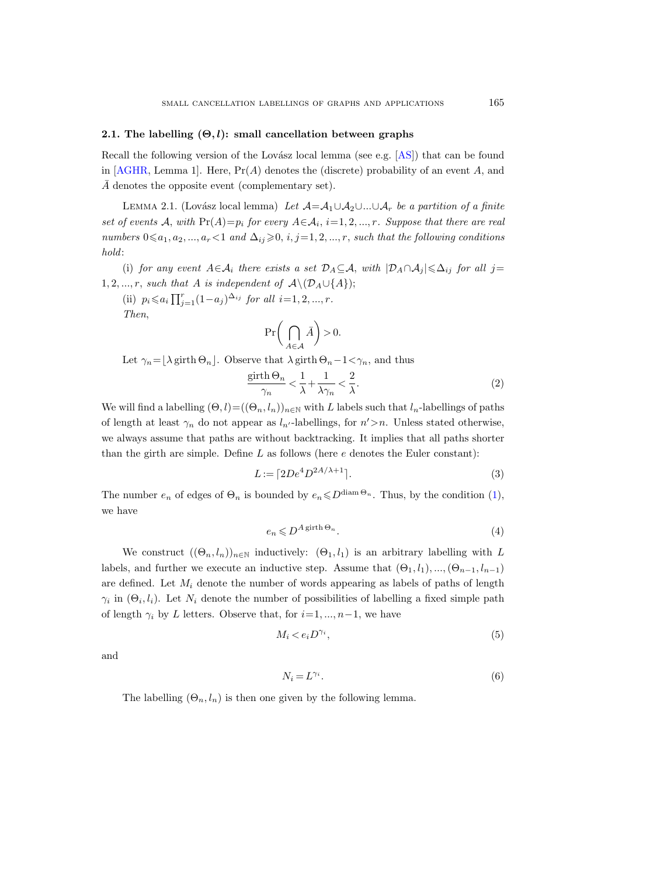#### <span id="page-6-0"></span>2.1. The labelling  $(\Theta, l)$ : small cancellation between graphs

Recall the following version of the Lovász local lemma (see e.g.  $[AS]$ ) that can be found in  $[AGHR, Lemma 1]$ . Here,  $Pr(A)$  denotes the (discrete) probability of an event A, and  $\overline{A}$  denotes the opposite event (complementary set).

<span id="page-6-1"></span>LEMMA 2.1. (Lovász local lemma) Let  $\mathcal{A} = \mathcal{A}_1 \cup \mathcal{A}_2 \cup ... \cup \mathcal{A}_r$  be a partition of a finite set of events A, with  $Pr(A)=p_i$  for every  $A \in A_i$ ,  $i=1,2,...,r$ . Suppose that there are real numbers  $0 \leq a_1, a_2, ..., a_r < 1$  and  $\Delta_{ij} \geq 0, i, j = 1, 2, ..., r$ , such that the following conditions hold:

(i) for any event  $A \in \mathcal{A}_i$  there exists a set  $\mathcal{D}_A \subseteq \mathcal{A}$ , with  $|\mathcal{D}_A \cap \mathcal{A}_i| \leq \Delta_{ij}$  for all j= 1, 2, ..., r, such that A is independent of  $\mathcal{A}\setminus(\mathcal{D}_A\cup\{A\});$ 

(ii)  $p_i \leq a_i \prod_{j=1}^r (1-a_j)^{\Delta_{ij}}$  for all  $i=1, 2, ..., r$ . Then,

<span id="page-6-5"></span>
$$
\Pr\bigg(\bigcap_{A\in\mathcal{A}}\bar{A}\bigg)>0.
$$

Let  $\gamma_n = \lfloor \lambda \operatorname{girth}\nolimits \Theta_n \rfloor$ . Observe that  $\lambda \operatorname{girth}\nolimits \Theta_n - 1 \langle \gamma_n, \text{ and thus } \rangle$ 

$$
\frac{\text{girth}\,\Theta_n}{\gamma_n} < \frac{1}{\lambda} + \frac{1}{\lambda\gamma_n} < \frac{2}{\lambda}.\tag{2}
$$

We will find a labelling  $(\Theta, l) = ((\Theta_n, l_n))_{n \in \mathbb{N}}$  with L labels such that  $l_n$ -labellings of paths of length at least  $\gamma_n$  do not appear as  $l_{n'}$ -labellings, for  $n' > n$ . Unless stated otherwise, we always assume that paths are without backtracking. It implies that all paths shorter than the girth are simple. Define  $L$  as follows (here  $e$  denotes the Euler constant):

$$
L := \lceil 2De^4 D^{2A/\lambda + 1} \rceil. \tag{3}
$$

The number  $e_n$  of edges of  $\Theta_n$  is bounded by  $e_n \leq D^{\text{diam}\,\Theta_n}$ . Thus, by the condition [\(1\)](#page-4-2), we have

<span id="page-6-6"></span><span id="page-6-4"></span>
$$
e_n \leqslant D^{A \text{ girth } \Theta_n}.\tag{4}
$$

We construct  $((\Theta_n, l_n))_{n\in\mathbb{N}}$  inductively:  $(\Theta_1, l_1)$  is an arbitrary labelling with L labels, and further we execute an inductive step. Assume that  $(\Theta_1, l_1), ..., (\Theta_{n-1}, l_{n-1})$ are defined. Let  $M_i$  denote the number of words appearing as labels of paths of length  $\gamma_i$  in  $(\Theta_i, l_i)$ . Let  $N_i$  denote the number of possibilities of labelling a fixed simple path of length  $\gamma_i$  by L letters. Observe that, for  $i=1, ..., n-1$ , we have

$$
M_i < e_i D^{\gamma_i},\tag{5}
$$

and

<span id="page-6-3"></span><span id="page-6-2"></span>
$$
N_i = L^{\gamma_i}.\tag{6}
$$

The labelling  $(\Theta_n, l_n)$  is then one given by the following lemma.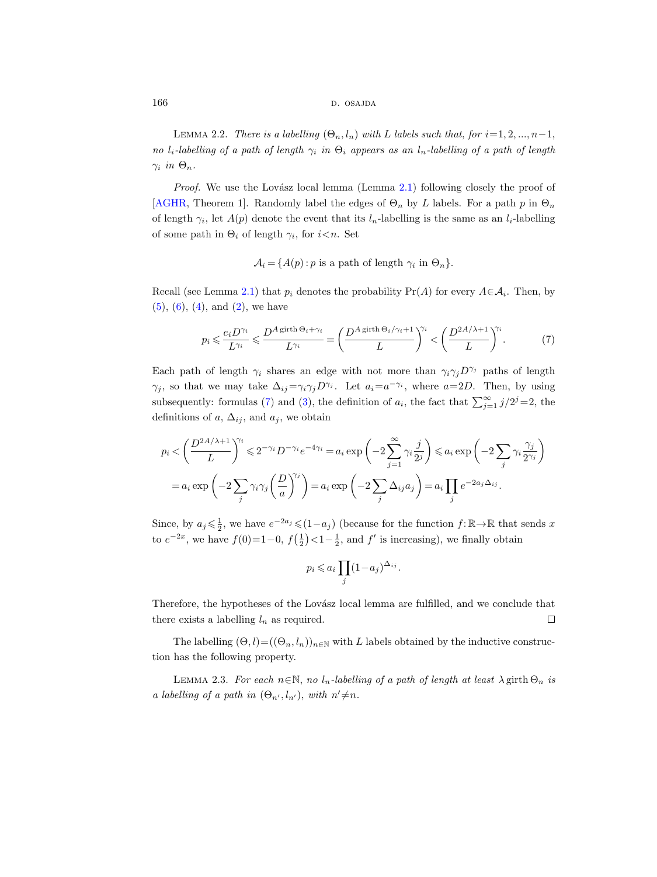166 d. osajda d. osajda d. osajda d. osajda d. osajda d. osajda d. osajda d. osajda d. osajda d. osajda d. osa

<span id="page-7-2"></span>LEMMA 2.2. There is a labelling  $(\Theta_n, l_n)$  with L labels such that, for  $i=1, 2, ..., n-1$ , no l<sub>i</sub>-labelling of a path of length  $\gamma_i$  in  $\Theta_i$  appears as an l<sub>n</sub>-labelling of a path of length  $\gamma_i$  in  $\Theta_n$ .

*Proof.* We use the Lovász local lemma (Lemma  $2.1$ ) following closely the proof of [\[AGHR,](#page-30-1) Theorem 1]. Randomly label the edges of  $\Theta_n$  by L labels. For a path p in  $\Theta_n$ of length  $\gamma_i$ , let  $A(p)$  denote the event that its  $l_n$ -labelling is the same as an  $l_i$ -labelling of some path in  $\Theta_i$  of length  $\gamma_i$ , for  $i \leq n$ . Set

<span id="page-7-1"></span> $\mathcal{A}_i = \{A(p) : p \text{ is a path of length } \gamma_i \text{ in } \Theta_n\}.$ 

Recall (see Lemma [2.1\)](#page-6-1) that  $p_i$  denotes the probability  $Pr(A)$  for every  $A \in \mathcal{A}_i$ . Then, by  $(5)$ ,  $(6)$ ,  $(4)$ , and  $(2)$ , we have

$$
p_i \leqslant \frac{e_i D^{\gamma_i}}{L^{\gamma_i}} \leqslant \frac{D^A \operatorname{girth}\nolimits \Theta_i + \gamma_i}{L^{\gamma_i}} = \left(\frac{D^A \operatorname{girth}\nolimits \Theta_i / \gamma_i + 1}{L}\right)^{\!\!\gamma_i} < \left(\frac{D^{2A/\lambda + 1}}{L}\right)^{\!\!\gamma_i}.\tag{7}
$$

Each path of length  $\gamma_i$  shares an edge with not more than  $\gamma_i \gamma_j D^{\gamma_j}$  paths of length  $\gamma_j$ , so that we may take  $\Delta_{ij} = \gamma_i \gamma_j D^{\gamma_j}$ . Let  $a_i = a^{-\gamma_i}$ , where  $a = 2D$ . Then, by using subsequently: formulas [\(7\)](#page-7-1) and [\(3\)](#page-6-6), the definition of  $a_i$ , the fact that  $\sum_{j=1}^{\infty} j/2^j = 2$ , the definitions of a,  $\Delta_{ij}$ , and  $a_j$ , we obtain

$$
p_i < \left(\frac{D^{2A/\lambda+1}}{L}\right)^{\gamma_i} \leq 2^{-\gamma_i} D^{-\gamma_i} e^{-4\gamma_i} = a_i \exp\left(-2\sum_{j=1}^{\infty} \gamma_i \frac{j}{2^j}\right) \leq a_i \exp\left(-2\sum_j \gamma_i \frac{\gamma_j}{2^{\gamma_j}}\right)
$$
  
=  $a_i \exp\left(-2\sum_j \gamma_i \gamma_j \left(\frac{D}{a}\right)^{\gamma_j}\right) = a_i \exp\left(-2\sum_j \Delta_{ij} a_j\right) = a_i \prod_j e^{-2a_j \Delta_{ij}}.$ 

Since, by  $a_j \leq \frac{1}{2}$ , we have  $e^{-2a_j} \leq (1-a_j)$  (because for the function  $f: \mathbb{R} \to \mathbb{R}$  that sends x to  $e^{-2x}$ , we have  $f(0)=1-0$ ,  $f(\frac{1}{2})<1-\frac{1}{2}$ , and  $f'$  is increasing), we finally obtain

$$
p_i \leqslant a_i \prod_j (1 - a_j)^{\Delta_{ij}}.
$$

Therefore, the hypotheses of the Lovász local lemma are fulfilled, and we conclude that there exists a labelling  $l_n$  as required.  $\Box$ 

The labelling  $(\Theta, l) = ((\Theta_n, l_n))_{n \in \mathbb{N}}$  with L labels obtained by the inductive construction has the following property.

<span id="page-7-0"></span>LEMMA 2.3. For each  $n \in \mathbb{N}$ , no  $l_n$ -labelling of a path of length at least  $\lambda$  girth  $\Theta_n$  is a labelling of a path in  $(\Theta_{n'}, l_{n'})$ , with  $n' \neq n$ .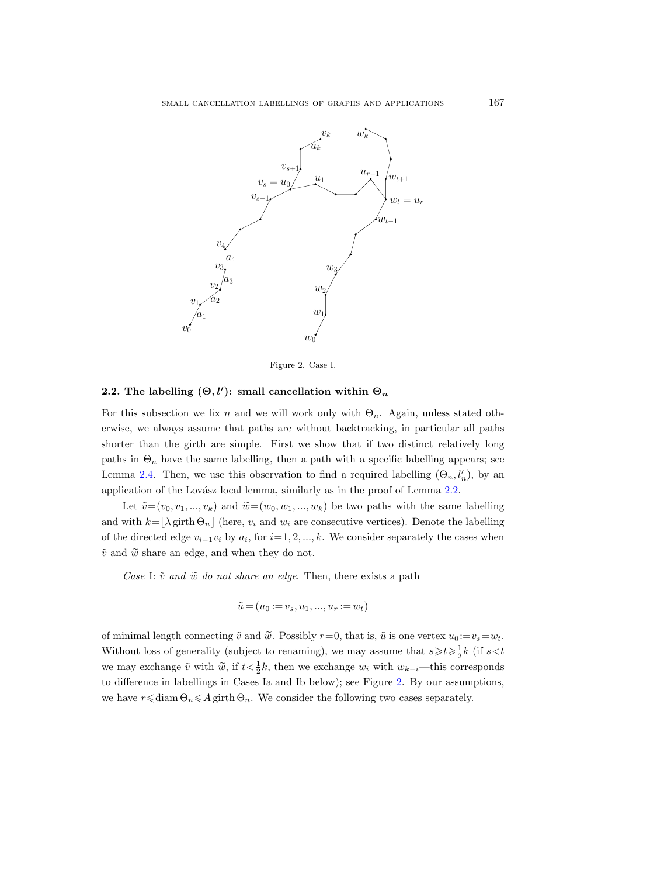

<span id="page-8-1"></span>Figure 2. Case I.

## <span id="page-8-0"></span>2.2. The labelling  $(\Theta, l')$ : small cancellation within  $\Theta_n$

For this subsection we fix n and we will work only with  $\Theta_n$ . Again, unless stated otherwise, we always assume that paths are without backtracking, in particular all paths shorter than the girth are simple. First we show that if two distinct relatively long paths in  $\Theta_n$  have the same labelling, then a path with a specific labelling appears; see Lemma [2.4.](#page-12-0) Then, we use this observation to find a required labelling  $(\Theta_n, l'_n)$ , by an application of the Lovász local lemma, similarly as in the proof of Lemma [2.2.](#page-7-2)

Let  $\tilde{v}=(v_0, v_1, ..., v_k)$  and  $\tilde{w}=(w_0, w_1, ..., w_k)$  be two paths with the same labelling and with  $k=|\lambda \text{ girth } \Theta_n|$  (here,  $v_i$  and  $w_i$  are consecutive vertices). Denote the labelling of the directed edge  $v_{i-1}v_i$  by  $a_i$ , for  $i=1, 2, ..., k$ . We consider separately the cases when  $\tilde{v}$  and  $\widetilde{w}$  share an edge, and when they do not.

Case I:  $\tilde{v}$  and  $\tilde{w}$  do not share an edge. Then, there exists a path

$$
\tilde{u} = (u_0 := v_s, u_1, ..., u_r := w_t)
$$

of minimal length connecting  $\tilde{v}$  and  $\tilde{w}$ . Possibly  $r=0$ , that is,  $\tilde{u}$  is one vertex  $u_0 := v_s = w_t$ . Without loss of generality (subject to renaming), we may assume that  $s \geq t \geq \frac{1}{2}k$  (if  $s < t$ ) we may exchange  $\tilde{v}$  with  $\tilde{w}$ , if  $t < \frac{1}{2}k$ , then we exchange  $w_i$  with  $w_{k-i}$ —this corresponds to difference in labellings in Cases Ia and Ib below); see Figure [2.](#page-8-1) By our assumptions, we have  $r \leq \text{diam } \Theta_n \leq A$  girth  $\Theta_n$ . We consider the following two cases separately.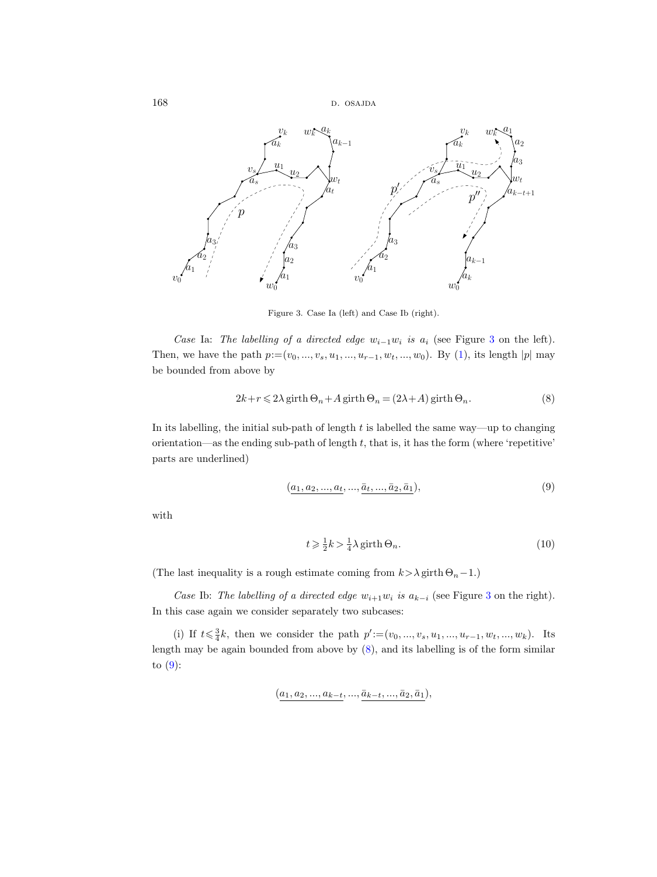168 d. osajda b. osajda b. osajda b. osajda b. osajda b. osajda b. osajda b. osajda b. osajda b. osajda b. osa



<span id="page-9-0"></span>Figure 3. Case Ia (left) and Case Ib (right).

Case Ia: The labelling of a directed edge  $w_{i-1}w_i$  is  $a_i$  (see Figure [3](#page-9-0) on the left). Then, we have the path  $p:=(v_0, ..., v_s, u_1, ..., u_{r-1}, w_t, ..., w_0)$ . By [\(1\)](#page-4-2), its length  $|p|$  may be bounded from above by

$$
2k + r \le 2\lambda \operatorname{girth}\n\Theta_n + A \operatorname{girth}\n\Theta_n = (2\lambda + A) \operatorname{girth}\n\Theta_n.
$$
\n(8)

In its labelling, the initial sub-path of length  $t$  is labelled the same way—up to changing orientation—as the ending sub-path of length  $t$ , that is, it has the form (where 'repetitive' parts are underlined)

<span id="page-9-1"></span>
$$
(a_1, a_2, \ldots, a_t, \ldots, \bar{a}_t, \ldots, \bar{a}_2, \bar{a}_1), \tag{9}
$$

with

<span id="page-9-3"></span><span id="page-9-2"></span>
$$
t \geqslant \frac{1}{2}k > \frac{1}{4}\lambda \operatorname{girth}\Theta_n.
$$
\n<sup>(10)</sup>

(The last inequality is a rough estimate coming from  $k > \lambda$  girth  $\Theta_n - 1$ .)

Case Ib: The labelling of a directed edge  $w_{i+1}w_i$  is  $a_{k-i}$  (see Figure [3](#page-9-0) on the right). In this case again we consider separately two subcases:

(i) If  $t \leq \frac{3}{4}k$ , then we consider the path  $p' := (v_0, ..., v_s, u_1, ..., u_{r-1}, w_t, ..., w_k)$ . Its length may be again bounded from above by [\(8\)](#page-9-1), and its labelling is of the form similar to  $(9)$ :

$$
(\underline{a_1}, \underline{a_2}, ..., \underline{a_{k-t}}, ..., \underline{\bar{a}_{k-t}}, ..., \underline{\bar{a}_2}, \underline{\bar{a}_1}),
$$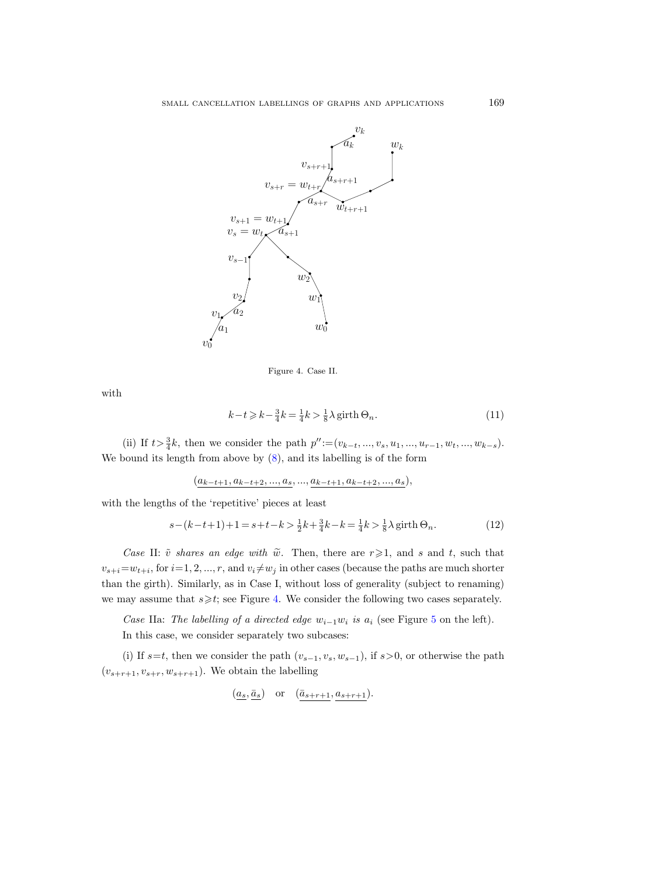

<span id="page-10-2"></span><span id="page-10-1"></span><span id="page-10-0"></span>Figure 4. Case II.

with

$$
k-t \geqslant k - \frac{3}{4}k = \frac{1}{4}k > \frac{1}{8}\lambda \operatorname{girth}\Theta_n.
$$
\n<sup>(11)</sup>

(ii) If  $t > \frac{3}{4}k$ , then we consider the path  $p'' := (v_{k-t}, ..., v_s, u_1, ..., u_{r-1}, w_t, ..., w_{k-s})$ . We bound its length from above by [\(8\)](#page-9-1), and its labelling is of the form

 $(a_{k-t+1}, a_{k-t+2}, ..., a_s, ..., a_{k-t+1}, a_{k-t+2}, ..., a_s),$ 

with the lengths of the 'repetitive' pieces at least

$$
s - (k - t + 1) + 1 = s + t - k > \frac{1}{2}k + \frac{3}{4}k - k = \frac{1}{4}k > \frac{1}{8}\lambda \text{ girth } \Theta_n.
$$
 (12)

Case II:  $\tilde{v}$  shares an edge with  $\tilde{w}$ . Then, there are  $r \geq 1$ , and s and t, such that  $v_{s+i} = w_{t+i}$ , for  $i = 1, 2, ..., r$ , and  $v_i \neq w_j$  in other cases (because the paths are much shorter than the girth). Similarly, as in Case I, without loss of generality (subject to renaming) we may assume that  $s \geq t$ ; see Figure [4.](#page-10-0) We consider the following two cases separately.

Case IIa: The labelling of a directed edge  $w_{i-1}w_i$  is  $a_i$  (see Figure [5](#page-11-0) on the left). In this case, we consider separately two subcases:

(i) If  $s=t$ , then we consider the path  $(v_{s-1}, v_s, w_{s-1})$ , if  $s>0$ , or otherwise the path  $(v_{s+r+1}, v_{s+r}, w_{s+r+1})$ . We obtain the labelling

$$
(\underline{a_s}, \underline{\bar{a}_s})
$$
 or  $(\underline{\bar{a}_{s+r+1}}, \underline{a_{s+r+1}})$ .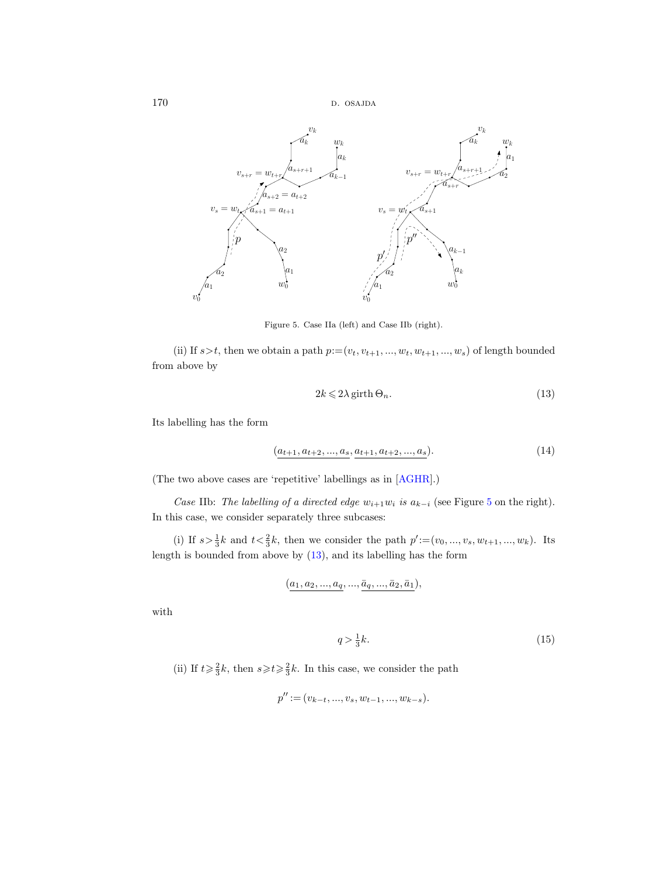

<span id="page-11-0"></span>Figure 5. Case IIa (left) and Case IIb (right).

(ii) If  $s > t$ , then we obtain a path  $p := (v_t, v_{t+1}, ..., w_t, w_{t+1}, ..., w_s)$  of length bounded from above by

<span id="page-11-2"></span><span id="page-11-1"></span>
$$
2k \leqslant 2\lambda \operatorname{girth}\n\Theta_n. \tag{13}
$$

Its labelling has the form

$$
(a_{t+1}, a_{t+2}, ..., a_s, a_{t+1}, a_{t+2}, ..., a_s). \tag{14}
$$

(The two above cases are 'repetitive' labellings as in [\[AGHR\]](#page-30-1).)

Case IIb: The labelling of a directed edge  $w_{i+1}w_i$  is  $a_{k-i}$  (see Figure [5](#page-11-0) on the right). In this case, we consider separately three subcases:

(i) If  $s > \frac{1}{3}k$  and  $t < \frac{2}{3}k$ , then we consider the path  $p' := (v_0, ..., v_s, w_{t+1}, ..., w_k)$ . Its length is bounded from above by [\(13\)](#page-11-1), and its labelling has the form

$$
(a_1, a_2, ..., a_q, ..., \bar{a}_q, ..., \bar{a}_2, \bar{a}_1),
$$

with

<span id="page-11-3"></span>
$$
q > \frac{1}{3}k. \tag{15}
$$

(ii) If  $t \geq \frac{2}{3}k$ , then  $s \geq t \geq \frac{2}{3}k$ . In this case, we consider the path

$$
p'' := (v_{k-t}, ..., v_s, w_{t-1}, ..., w_{k-s}).
$$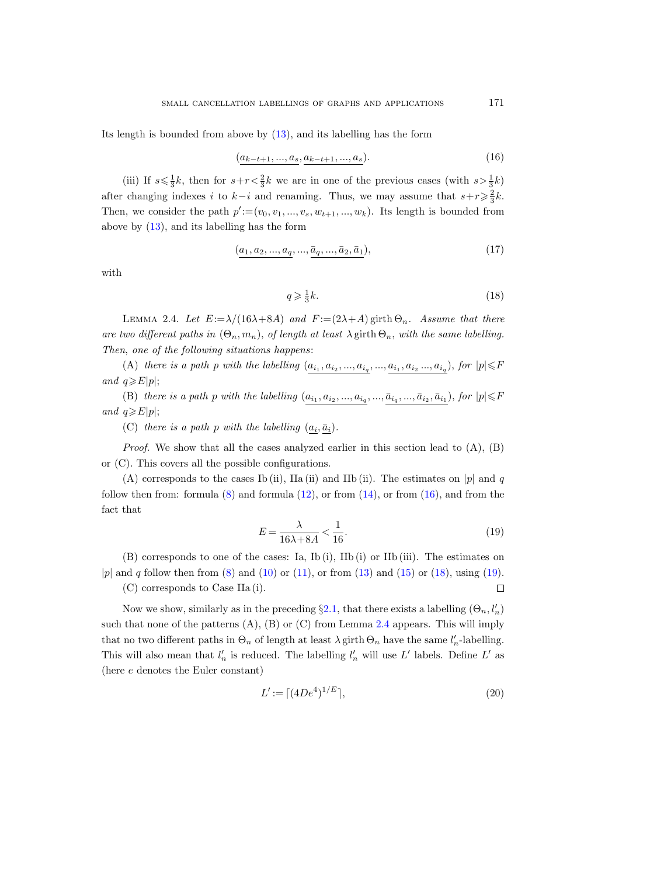Its length is bounded from above by [\(13\)](#page-11-1), and its labelling has the form

$$
(a_{k-t+1},...,a_s,a_{k-t+1},...,a_s). \t\t(16)
$$

(iii) If  $s \le \frac{1}{3}k$ , then for  $s+r < \frac{2}{3}k$  we are in one of the previous cases (with  $s > \frac{1}{3}k$ ) after changing indexes i to  $k-i$  and renaming. Thus, we may assume that  $s+r\geqslant \frac{2}{3}k$ . Then, we consider the path  $p' := (v_0, v_1, ..., v_s, w_{t+1}, ..., w_k)$ . Its length is bounded from above by [\(13\)](#page-11-1), and its labelling has the form

$$
(\underline{a_1, a_2, ..., a_q, ..., \bar{a}_q, ..., \bar{a}_2, \bar{a}_1}),
$$
\n(17)

with

<span id="page-12-2"></span><span id="page-12-1"></span>
$$
q \geqslant \frac{1}{3}k.\tag{18}
$$

<span id="page-12-0"></span>LEMMA 2.4. Let  $E:=\lambda/(16\lambda+8A)$  and  $F:=(2\lambda+A)$  girth  $\Theta_n$ . Assume that there are two different paths in  $(\Theta_n, m_n)$ , of length at least  $\lambda$  girth  $\Theta_n$ , with the same labelling. Then, one of the following situations happens:

(A) there is a path p with the labelling  $(a_{i_1}, a_{i_2}, ..., a_{i_q}, ..., a_{i_1}, a_{i_2}, ..., a_{i_q})$ , for  $|p| \leq F$ and  $q \ge E|p|$ ;

(B) there is a path p with the labelling  $(a_{i_1}, a_{i_2}, ..., a_{i_q}, ..., \bar{a}_{i_q}, ..., \bar{a}_{i_2}, \bar{a}_{i_1}),$  for  $|p| \leq R$ and  $q \geq E|p|$ ;

(C) there is a path p with the labelling  $(a_i, \bar{a}_i)$ .

*Proof.* We show that all the cases analyzed earlier in this section lead to  $(A)$ ,  $(B)$ or (C). This covers all the possible configurations.

(A) corresponds to the cases Ib (ii), IIa (ii) and IIb (ii). The estimates on |p| and q follow then from: formula  $(8)$  and formula  $(12)$ , or from  $(14)$ , or from  $(16)$ , and from the fact that

$$
E = \frac{\lambda}{16\lambda + 8A} < \frac{1}{16}.\tag{19}
$$

(B) corresponds to one of the cases: Ia, Ib (i), IIb (i) or IIb (iii). The estimates on |p| and q follow then from  $(8)$  and  $(10)$  or  $(11)$ , or from  $(13)$  and  $(15)$  or  $(18)$ , using  $(19)$ .

(C) corresponds to Case IIa (i).

Now we show, similarly as in the preceding  $\S 2.1$ , that there exists a labelling  $(\Theta_n, l'_n)$ such that none of the patterns  $(A)$ ,  $(B)$  or  $(C)$  from Lemma [2.4](#page-12-0) appears. This will imply that no two different paths in  $\Theta_n$  of length at least  $\lambda$  girth  $\Theta_n$  have the same  $l'_n$ -labelling. This will also mean that  $l'_n$  is reduced. The labelling  $l'_n$  will use L' labels. Define L' as (here e denotes the Euler constant)

$$
L' := \lceil (4De^4)^{1/E} \rceil,\tag{20}
$$

<span id="page-12-4"></span><span id="page-12-3"></span> $\Box$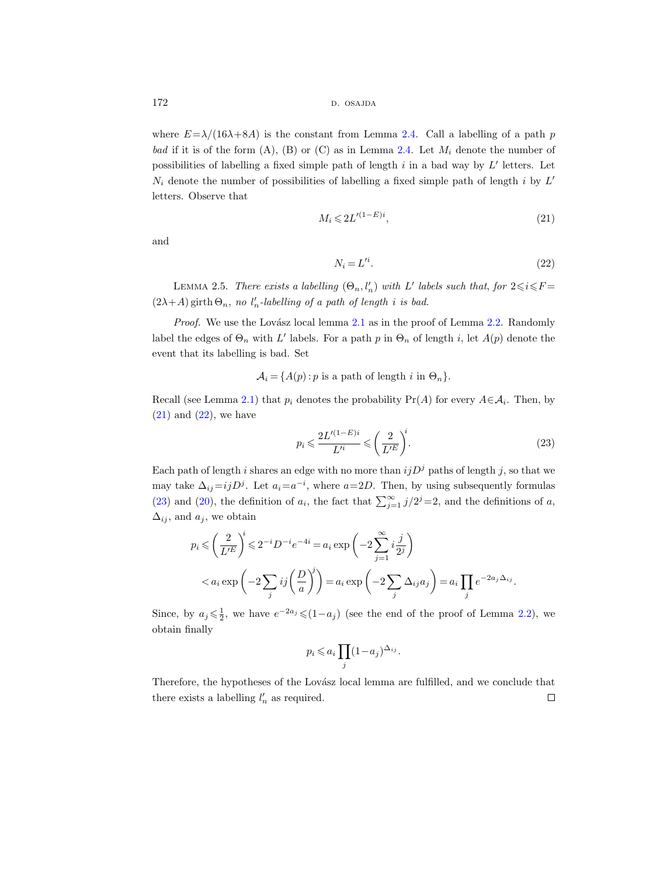172 d. osajda b. osajda b. osajda b. osajda b. osajda b. osajda b. osajda b. osajda b. osajda b. osajda b. osa

where  $E=\lambda/(16\lambda+8A)$  is the constant from Lemma [2.4.](#page-12-0) Call a labelling of a path p bad if it is of the form  $(A)$ ,  $(B)$  or  $(C)$  as in Lemma [2.4.](#page-12-0) Let  $M_i$  denote the number of possibilities of labelling a fixed simple path of length  $i$  in a bad way by  $L'$  letters. Let  $N_i$  denote the number of possibilities of labelling a fixed simple path of length i by  $L'$ letters. Observe that

$$
M_i \leqslant 2L'^{(1-E)i},\tag{21}
$$

and

<span id="page-13-1"></span><span id="page-13-0"></span>
$$
N_i = L'^i. \tag{22}
$$

<span id="page-13-3"></span>LEMMA 2.5. There exists a labelling  $(\Theta_n, l'_n)$  with L' labels such that, for  $2 \leq i \leq F =$  $(2\lambda+A)$  girth  $\Theta_n$ , no  $l'_n$ -labelling of a path of length i is bad.

*Proof.* We use the Lovász local lemma  $2.1$  as in the proof of Lemma  $2.2$ . Randomly label the edges of  $\Theta_n$  with L' labels. For a path p in  $\Theta_n$  of length i, let  $A(p)$  denote the event that its labelling is bad. Set

 $\mathcal{A}_i = \{A(p): p \text{ is a path of length } i \text{ in } \Theta_n\}.$ 

Recall (see Lemma [2.1\)](#page-6-1) that  $p_i$  denotes the probability  $Pr(A)$  for every  $A \in \mathcal{A}_i$ . Then, by  $(21)$  and  $(22)$ , we have

<span id="page-13-2"></span>
$$
p_i \leqslant \frac{2L'^{(1-E)i}}{L'^i} \leqslant \left(\frac{2}{L'^E}\right)^i.
$$
\n
$$
(23)
$$

Each path of length i shares an edge with no more than  $ijD<sup>j</sup>$  paths of length j, so that we may take  $\Delta_{ij} = ijD^j$ . Let  $a_i = a^{-i}$ , where  $a = 2D$ . Then, by using subsequently formulas [\(23\)](#page-13-2) and [\(20\)](#page-12-4), the definition of  $a_i$ , the fact that  $\sum_{j=1}^{\infty} j/2^j = 2$ , and the definitions of a,  $\Delta_{ij}$ , and  $a_j$ , we obtain

$$
p_i \leqslant \left(\frac{2}{L'^E}\right)^i \leqslant 2^{-i}D^{-i}e^{-4i} = a_i \exp\left(-2\sum_{j=1}^{\infty} i\frac{j}{2^j}\right)
$$
  

$$
< a_i \exp\left(-2\sum_j ij\left(\frac{D}{a}\right)^j\right) = a_i \exp\left(-2\sum_j \Delta_{ij}a_j\right) = a_i \prod_j e^{-2a_j\Delta_{ij}}.
$$

Since, by  $a_j \leq \frac{1}{2}$ , we have  $e^{-2a_j} \leq (1-a_j)$  (see the end of the proof of Lemma [2.2\)](#page-7-2), we obtain finally

$$
p_i \leqslant a_i \prod_j (1 - a_j)^{\Delta_{ij}}.
$$

Therefore, the hypotheses of the Lovász local lemma are fulfilled, and we conclude that there exists a labelling  $l'_n$  as required.  $\Box$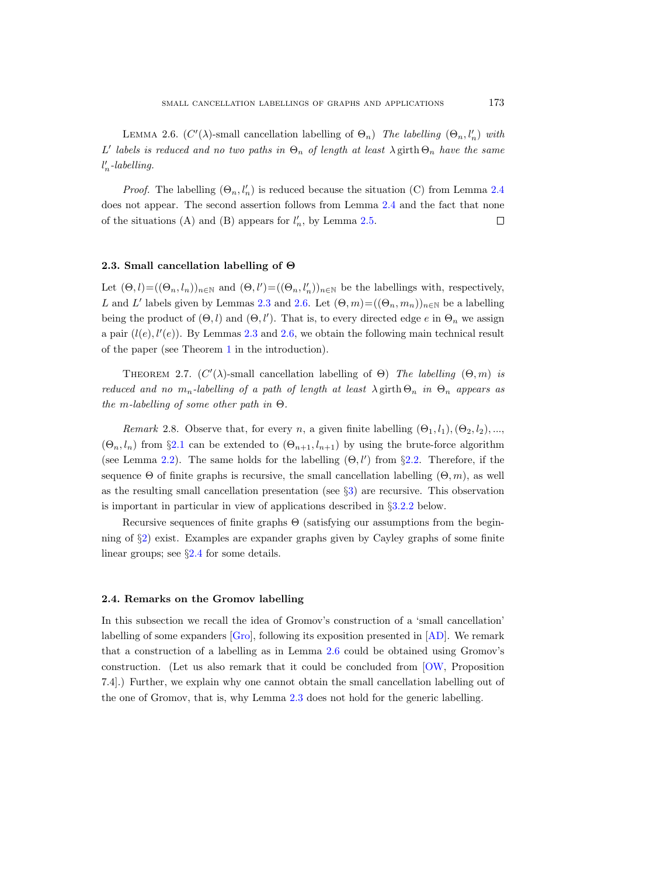<span id="page-14-3"></span>LEMMA 2.6.  $(C'(\lambda)$ -small cancellation labelling of  $\Theta_n$ ) The labelling  $(\Theta_n, l'_n)$  with L' labels is reduced and no two paths in  $\Theta_n$  of length at least  $\lambda$  girth  $\Theta_n$  have the same  $l'_n$ -labelling.

*Proof.* The labelling  $(\Theta_n, l'_n)$  is reduced because the situation (C) from Lemma [2.4](#page-12-0) does not appear. The second assertion follows from Lemma [2.4](#page-12-0) and the fact that none of the situations (A) and (B) appears for  $l'_n$ , by Lemma [2.5.](#page-13-3)  $\Box$ 

#### <span id="page-14-0"></span>2.3. Small cancellation labelling of Θ

Let  $(\Theta, l) = ((\Theta_n, l_n))_{n \in \mathbb{N}}$  and  $(\Theta, l') = ((\Theta_n, l'_n))_{n \in \mathbb{N}}$  be the labellings with, respectively, L and L' labels given by Lemmas [2.3](#page-7-0) and [2.6.](#page-14-3) Let  $(\Theta, m) = ((\Theta_n, m_n))_{n \in \mathbb{N}}$  be a labelling being the product of  $(\Theta, l)$  and  $(\Theta, l')$ . That is, to every directed edge e in  $\Theta_n$  we assign a pair  $(l(e), l'(e))$ . By Lemmas [2.3](#page-7-0) and [2.6,](#page-14-3) we obtain the following main technical result of the paper (see Theorem [1](#page-1-1) in the introduction).

<span id="page-14-2"></span>THEOREM 2.7.  $(C'(\lambda)$ -small cancellation labelling of  $\Theta$ ) The labelling  $(\Theta, m)$  is reduced and no  $m_n$ -labelling of a path of length at least  $\lambda$  girth  $\Theta_n$  in  $\Theta_n$  appears as the m-labelling of some other path in  $\Theta$ .

<span id="page-14-4"></span>Remark 2.8. Observe that, for every n, a given finite labelling  $(\Theta_1, l_1), (\Theta_2, l_2), ...,$  $(\Theta_n, l_n)$  from §[2.1](#page-6-0) can be extended to  $(\Theta_{n+1}, l_{n+1})$  by using the brute-force algorithm (see Lemma [2.2\)](#page-7-2). The same holds for the labelling  $(\Theta, l')$  from §[2.2.](#page-8-0) Therefore, if the sequence Θ of finite graphs is recursive, the small cancellation labelling  $(\Theta, m)$ , as well as the resulting small cancellation presentation (see §[3\)](#page-16-0) are recursive. This observation is important in particular in view of applications described in §[3.2.2](#page-18-2) below.

Recursive sequences of finite graphs Θ (satisfying our assumptions from the beginning of §[2\)](#page-4-0) exist. Examples are expander graphs given by Cayley graphs of some finite linear groups; see §[2.4](#page-14-1) for some details.

#### <span id="page-14-1"></span>2.4. Remarks on the Gromov labelling

In this subsection we recall the idea of Gromov's construction of a 'small cancellation' labelling of some expanders [\[Gro\]](#page-31-0), following its exposition presented in [\[AD\]](#page-30-0). We remark that a construction of a labelling as in Lemma [2.6](#page-14-3) could be obtained using Gromov's construction. (Let us also remark that it could be concluded from [\[OW,](#page-31-19) Proposition 7.4].) Further, we explain why one cannot obtain the small cancellation labelling out of the one of Gromov, that is, why Lemma [2.3](#page-7-0) does not hold for the generic labelling.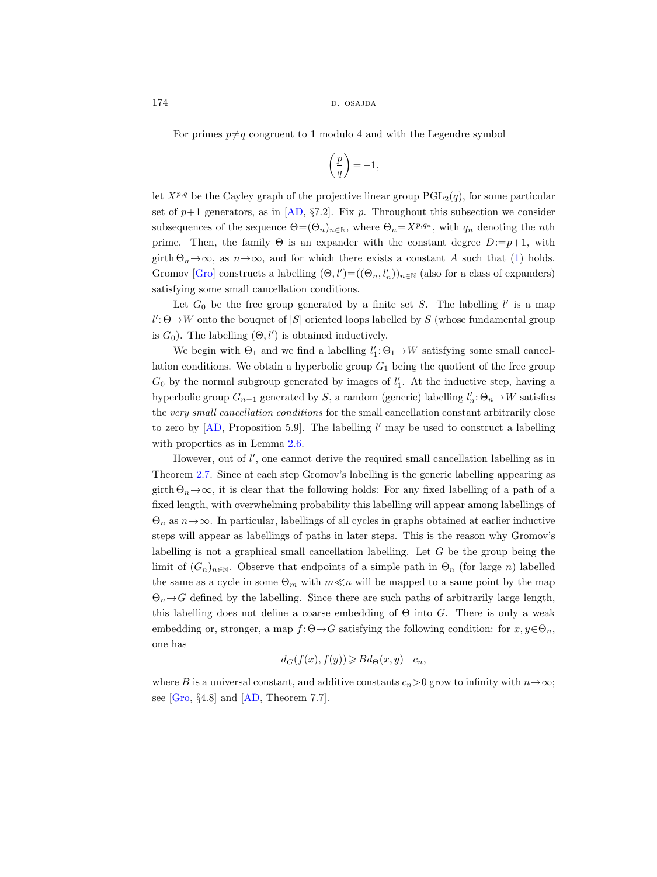174 d. osajda b. osajda b. osajda b. osajda b. osajda b. osajda b. osajda b. osajda b. osajda b. osajda b. osa

For primes  $p \neq q$  congruent to 1 modulo 4 and with the Legendre symbol

$$
\left(\frac{p}{q}\right) = -1,
$$

let  $X^{p,q}$  be the Cayley graph of the projective linear group  $PGL_2(q)$ , for some particular set of  $p+1$  generators, as in [\[AD,](#page-30-0) §7.2]. Fix p. Throughout this subsection we consider subsequences of the sequence  $\Theta=(\Theta_n)_{n\in\mathbb{N}}$ , where  $\Theta_n=X^{p,q_n}$ , with  $q_n$  denoting the nth prime. Then, the family  $\Theta$  is an expander with the constant degree  $D:=p+1$ , with girth  $\Theta_n \rightarrow \infty$ , as  $n \rightarrow \infty$ , and for which there exists a constant A such that [\(1\)](#page-4-2) holds. Gromov [\[Gro\]](#page-31-0) constructs a labelling  $(\Theta, l') = ((\Theta_n, l'_n))_{n \in \mathbb{N}}$  (also for a class of expanders) satisfying some small cancellation conditions.

Let  $G_0$  be the free group generated by a finite set S. The labelling  $l'$  is a map  $l'\!:\!\Theta\!\rightarrow\!W$  onto the bouquet of  $|S|$  oriented loops labelled by  $S$  (whose fundamental group is  $G_0$ ). The labelling  $(\Theta, l')$  is obtained inductively.

We begin with  $\Theta_1$  and we find a labelling  $l'_1$ :  $\Theta_1 \rightarrow W$  satisfying some small cancellation conditions. We obtain a hyperbolic group  $G_1$  being the quotient of the free group  $G_0$  by the normal subgroup generated by images of  $l'_1$ . At the inductive step, having a hyperbolic group  $G_{n-1}$  generated by S, a random (generic) labelling  $l'_n: \Theta_n \to W$  satisfies the very small cancellation conditions for the small cancellation constant arbitrarily close to zero by  $[AD,$  Proposition 5.9. The labelling  $l'$  may be used to construct a labelling with properties as in Lemma [2.6.](#page-14-3)

However, out of  $l'$ , one cannot derive the required small cancellation labelling as in Theorem [2.7.](#page-14-2) Since at each step Gromov's labelling is the generic labelling appearing as girth  $\Theta_n \to \infty$ , it is clear that the following holds: For any fixed labelling of a path of a fixed length, with overwhelming probability this labelling will appear among labellings of  $\Theta_n$  as  $n \to \infty$ . In particular, labellings of all cycles in graphs obtained at earlier inductive steps will appear as labellings of paths in later steps. This is the reason why Gromov's labelling is not a graphical small cancellation labelling. Let G be the group being the limit of  $(G_n)_{n\in\mathbb{N}}$ . Observe that endpoints of a simple path in  $\Theta_n$  (for large n) labelled the same as a cycle in some  $\Theta_m$  with  $m \ll n$  will be mapped to a same point by the map  $\Theta_n \rightarrow G$  defined by the labelling. Since there are such paths of arbitrarily large length, this labelling does not define a coarse embedding of  $\Theta$  into G. There is only a weak embedding or, stronger, a map  $f: \Theta \to G$  satisfying the following condition: for  $x, y \in \Theta_n$ , one has

$$
d_G(f(x),f(y))\geqslant Bd_{\Theta}(x,y)-c_n,
$$

where B is a universal constant, and additive constants  $c_n>0$  grow to infinity with  $n \to \infty$ ; see [\[Gro,](#page-31-0) §4.8] and [\[AD,](#page-30-0) Theorem 7.7].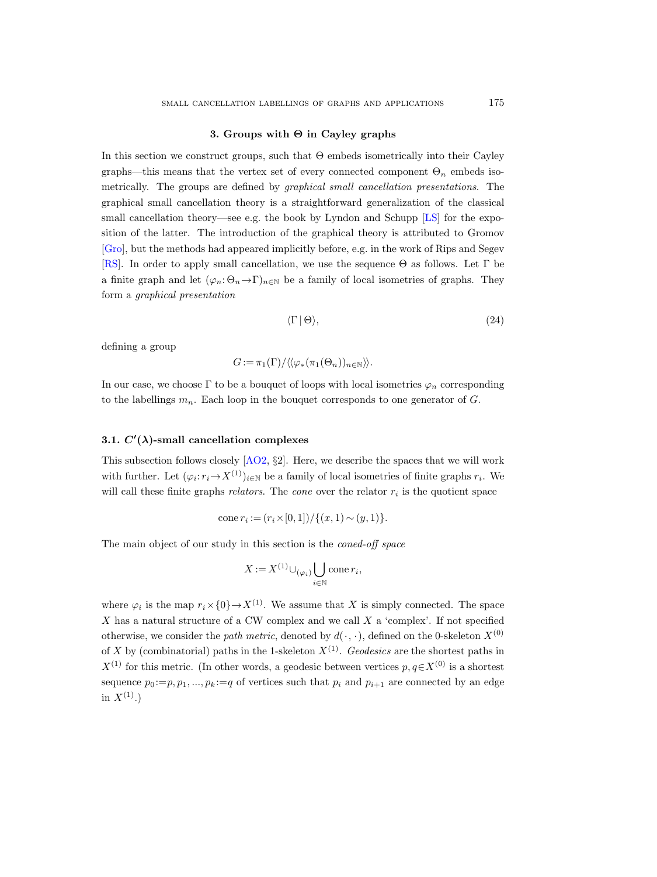#### 3. Groups with Θ in Cayley graphs

<span id="page-16-0"></span>In this section we construct groups, such that Θ embeds isometrically into their Cayley graphs—this means that the vertex set of every connected component  $\Theta_n$  embeds isometrically. The groups are defined by graphical small cancellation presentations. The graphical small cancellation theory is a straightforward generalization of the classical small cancellation theory—see e.g. the book by Lyndon and Schupp [\[LS\]](#page-31-20) for the exposition of the latter. The introduction of the graphical theory is attributed to Gromov [\[Gro\]](#page-31-0), but the methods had appeared implicitly before, e.g. in the work of Rips and Segev [\[RS\]](#page-32-7). In order to apply small cancellation, we use the sequence Θ as follows. Let Γ be a finite graph and let  $(\varphi_n: \Theta_n \to \Gamma)_{n \in \mathbb{N}}$  be a family of local isometries of graphs. They form a graphical presentation

<span id="page-16-1"></span>
$$
\langle \Gamma | \Theta \rangle, \tag{24}
$$

defining a group

$$
G:=\pi_1(\Gamma)/\langle\langle\varphi_*(\pi_1(\Theta_n))_{n\in\mathbb{N}}\rangle\rangle.
$$

In our case, we choose  $\Gamma$  to be a bouquet of loops with local isometries  $\varphi_n$  corresponding to the labellings  $m_n$ . Each loop in the bouquet corresponds to one generator of G.

## <span id="page-16-2"></span>3.1.  $C'(\lambda)$ -small cancellation complexes

This subsection follows closely [\[AO2,](#page-30-4) §2]. Here, we describe the spaces that we will work with further. Let  $(\varphi_i: r_i \to X^{(1)})_{i \in \mathbb{N}}$  be a family of local isometries of finite graphs  $r_i$ . We will call these finite graphs *relators*. The *cone* over the relator  $r_i$  is the quotient space

cone 
$$
r_i := (r_i \times [0, 1]) / \{(x, 1) \sim (y, 1)\}.
$$

The main object of our study in this section is the coned-off space

$$
X := X^{(1)} \cup_{(\varphi_i)} \bigcup_{i \in \mathbb{N}} \text{cone } r_i,
$$

where  $\varphi_i$  is the map  $r_i \times \{0\} \rightarrow X^{(1)}$ . We assume that X is simply connected. The space X has a natural structure of a CW complex and we call X a 'complex'. If not specified otherwise, we consider the path metric, denoted by  $d(\cdot, \cdot)$ , defined on the 0-skeleton  $X^{(0)}$ of X by (combinatorial) paths in the 1-skeleton  $X^{(1)}$ . Geodesics are the shortest paths in  $X^{(1)}$  for this metric. (In other words, a geodesic between vertices  $p, q \in X^{(0)}$  is a shortest sequence  $p_0 := p, p_1, ..., p_k := q$  of vertices such that  $p_i$  and  $p_{i+1}$  are connected by an edge in  $X^{(1)}$ .)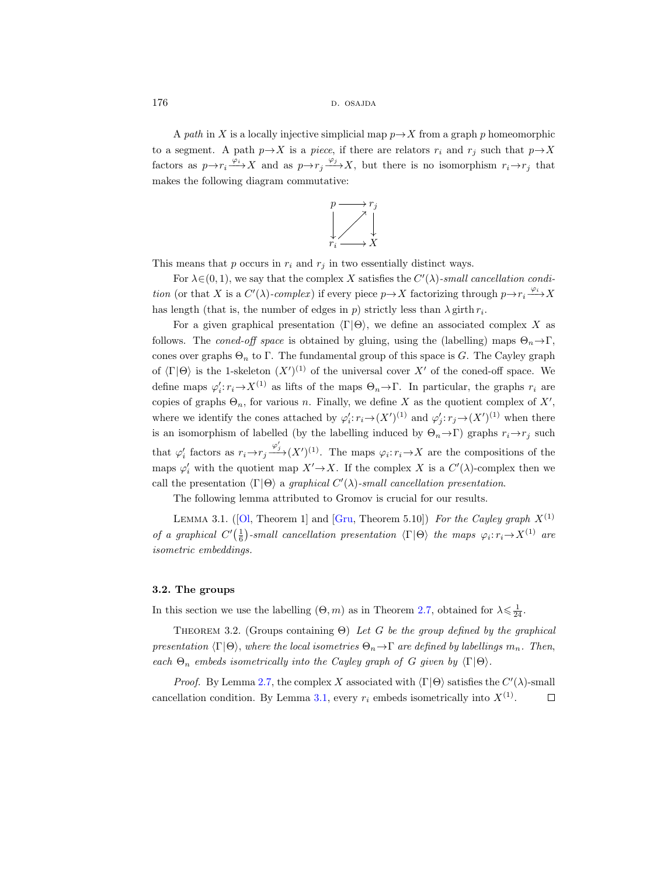176 d. osajda b. osajda b. osajda b. osajda b. osajda b. osajda b. osajda b. osajda b. osajda b. osajda b. osa

A path in X is a locally injective simplicial map  $p \rightarrow X$  from a graph p homeomorphic to a segment. A path  $p \rightarrow X$  is a piece, if there are relators  $r_i$  and  $r_j$  such that  $p \rightarrow X$ factors as  $p \rightarrow r_i \xrightarrow{\varphi_i} X$  and as  $p \rightarrow r_j \xrightarrow{\varphi_j} X$ , but there is no isomorphism  $r_i \rightarrow r_j$  that makes the following diagram commutative:

$$
\begin{array}{ccc}\np & \longrightarrow r_j \\
\downarrow & \nearrow \\
r_i & \longrightarrow X\n\end{array}
$$

This means that  $p$  occurs in  $r_i$  and  $r_j$  in two essentially distinct ways.

For  $\lambda \in (0, 1)$ , we say that the complex X satisfies the  $C'(\lambda)$ -small cancellation condition (or that X is a  $C'(\lambda)$ -complex) if every piece  $p \to X$  factorizing through  $p \to r_i \xrightarrow{\varphi_i} X$ has length (that is, the number of edges in  $p$ ) strictly less than  $\lambda$  girth  $r_i$ .

For a given graphical presentation  $\langle \Gamma | \Theta \rangle$ , we define an associated complex X as follows. The coned-off space is obtained by gluing, using the (labelling) maps  $\Theta_n \rightarrow \Gamma$ , cones over graphs  $\Theta_n$  to Γ. The fundamental group of this space is G. The Cayley graph of  $\langle \Gamma | \Theta \rangle$  is the 1-skeleton  $(X')^{(1)}$  of the universal cover X' of the coned-off space. We define maps  $\varphi'_i: r_i \to X^{(1)}$  as lifts of the maps  $\Theta_n \to \Gamma$ . In particular, the graphs  $r_i$  are copies of graphs  $\Theta_n$ , for various n. Finally, we define X as the quotient complex of X', where we identify the cones attached by  $\varphi'_i : r_i \to (X')^{(1)}$  and  $\varphi'_j : r_j \to (X')^{(1)}$  when there is an isomorphism of labelled (by the labelling induced by  $\Theta_n \to \Gamma$ ) graphs  $r_i \to r_j$  such that  $\varphi'_i$  factors as  $r_i \to r_j \frac{\varphi'_j}{\to} (X')^{(1)}$ . The maps  $\varphi_i : r_i \to X$  are the compositions of the maps  $\varphi'_i$  with the quotient map  $X' \to X$ . If the complex X is a  $C'(\lambda)$ -complex then we call the presentation  $\langle \Gamma | \Theta \rangle$  a graphical  $C'(\lambda)$ -small cancellation presentation.

The following lemma attributed to Gromov is crucial for our results.

<span id="page-17-0"></span>LEMMA3.1. ([\[Ol,](#page-31-3) Theorem 1] and [\[Gru,](#page-31-21) Theorem 5.10]) For the Cayley graph  $X^{(1)}$ of a graphical  $C'(\frac{1}{6})$ -small cancellation presentation  $\langle \Gamma | \Theta \rangle$  the maps  $\varphi_i : r_i \to X^{(1)}$  are isometric embeddings.

#### 3.2. The groups

In this section we use the labelling  $(\Theta, m)$  as in Theorem [2.7,](#page-14-2) obtained for  $\lambda \leq \frac{1}{24}$ .

<span id="page-17-1"></span>THEOREM 3.2. (Groups containing  $\Theta$ ) Let G be the group defined by the graphical presentation  $\langle \Gamma | \Theta \rangle$ , where the local isometries  $\Theta_n \to \Gamma$  are defined by labellings  $m_n$ . Then, each  $\Theta_n$  embeds isometrically into the Cayley graph of G given by  $\langle \Gamma | \Theta \rangle$ .

*Proof.* By Lemma [2.7,](#page-14-2) the complex X associated with  $\langle \Gamma | \Theta \rangle$  satisfies the  $C'(\lambda)$ -small cancellation condition. By Lemma [3.1,](#page-17-0) every  $r_i$  embeds isometrically into  $X^{(1)}$ .  $\Box$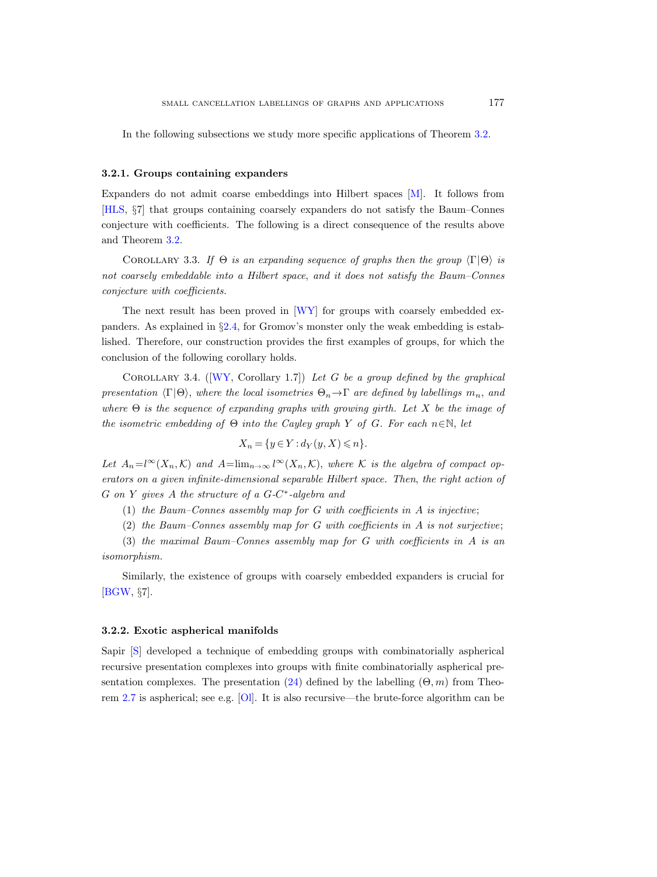In the following subsections we study more specific applications of Theorem [3.2.](#page-17-1)

#### 3.2.1. Groups containing expanders

Expanders do not admit coarse embeddings into Hilbert spaces [\[M\]](#page-31-22). It follows from [\[HLS,](#page-31-17) §7] that groups containing coarsely expanders do not satisfy the Baum–Connes conjecture with coefficients. The following is a direct consequence of the results above and Theorem [3.2.](#page-17-1)

<span id="page-18-0"></span>COROLLARY 3.3. If  $\Theta$  is an expanding sequence of graphs then the group  $\langle \Gamma | \Theta \rangle$  is not coarsely embeddable into a Hilbert space, and it does not satisfy the Baum–Connes conjecture with coefficients.

The next result has been proved in [\[WY\]](#page-32-5) for groups with coarsely embedded expanders. As explained in §[2.4,](#page-14-1) for Gromov's monster only the weak embedding is established. Therefore, our construction provides the first examples of groups, for which the conclusion of the following corollary holds.

<span id="page-18-1"></span>COROLLARY3.4. ( $[WY, Corollary 1.7]$  $[WY, Corollary 1.7]$ ) Let G be a group defined by the graphical presentation  $\langle \Gamma | \Theta \rangle$ , where the local isometries  $\Theta_n \rightarrow \Gamma$  are defined by labellings  $m_n$ , and where  $\Theta$  is the sequence of expanding graphs with growing girth. Let X be the image of the isometric embedding of  $\Theta$  into the Cayley graph Y of G. For each  $n \in \mathbb{N}$ , let

$$
X_n=\{y\in Y: d_Y(y,X)\leqslant n\}.
$$

Let  $A_n = l^{\infty}(X_n, \mathcal{K})$  and  $A = \lim_{n \to \infty} l^{\infty}(X_n, \mathcal{K})$ , where K is the algebra of compact operators on a given infinite-dimensional separable Hilbert space. Then, the right action of  $G$  on  $Y$  gives  $A$  the structure of a  $G-C^*$ -algebra and

(1) the Baum–Connes assembly map for  $G$  with coefficients in  $A$  is injective;

(2) the Baum–Connes assembly map for G with coefficients in  $A$  is not surjective;

(3) the maximal Baum–Connes assembly map for G with coefficients in A is an isomorphism.

Similarly, the existence of groups with coarsely embedded expanders is crucial for [\[BGW,](#page-31-18) §7].

#### <span id="page-18-2"></span>3.2.2. Exotic aspherical manifolds

Sapir [\[S\]](#page-32-6) developed a technique of embedding groups with combinatorially aspherical recursive presentation complexes into groups with finite combinatorially aspherical pre-sentation complexes. The presentation [\(24\)](#page-16-1) defined by the labelling  $(\Theta, m)$  from Theorem [2.7](#page-14-2) is aspherical; see e.g. [\[Ol\]](#page-31-3). It is also recursive—the brute-force algorithm can be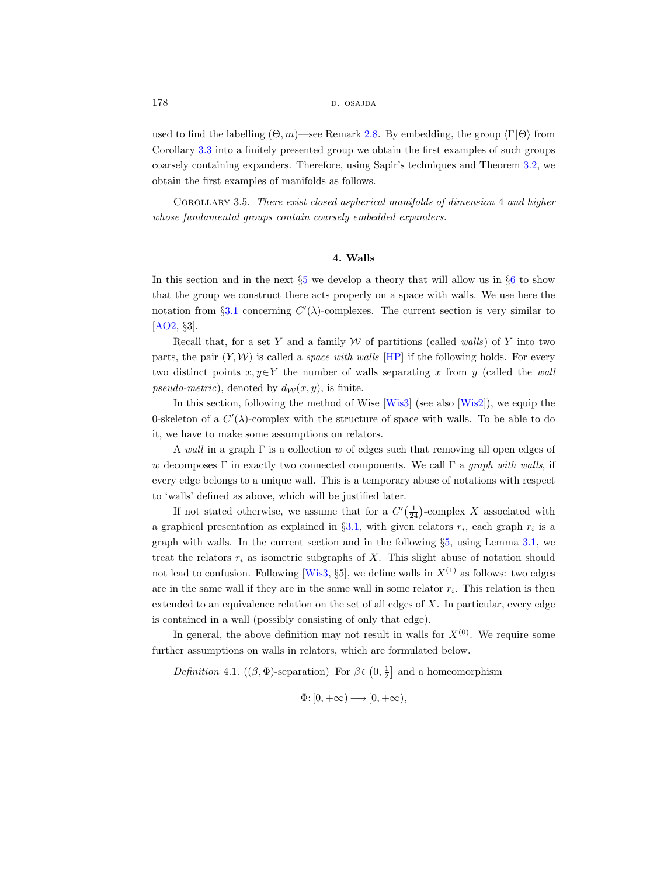used to find the labelling  $(\Theta, m)$ —see Remark [2.8.](#page-14-4) By embedding, the group  $\langle \Gamma | \Theta \rangle$  from Corollary [3.3](#page-18-0) into a finitely presented group we obtain the first examples of such groups coarsely containing expanders. Therefore, using Sapir's techniques and Theorem [3.2,](#page-17-1) we obtain the first examples of manifolds as follows.

<span id="page-19-1"></span>Corollary 3.5. There exist closed aspherical manifolds of dimension 4 and higher whose fundamental groups contain coarsely embedded expanders.

### 4. Walls

<span id="page-19-0"></span>In this section and in the next  $\S5$  $\S5$  we develop a theory that will allow us in  $\S6$  $\S6$  to show that the group we construct there acts properly on a space with walls. We use here the notation from §[3.1](#page-16-2) concerning  $C'(\lambda)$ -complexes. The current section is very similar to [\[AO2,](#page-30-4) §3].

Recall that, for a set Y and a family  $\mathcal W$  of partitions (called walls) of Y into two parts, the pair  $(Y, W)$  is called a *space with walls* [\[HP\]](#page-31-10) if the following holds. For every two distinct points  $x, y \in Y$  the number of walls separating x from y (called the wall pseudo-metric), denoted by  $d_{\mathcal{W}}(x, y)$ , is finite.

In this section, following the method of Wise [\[Wis3\]](#page-32-8) (see also [\[Wis2\]](#page-32-9)), we equip the 0-skeleton of a  $C'(\lambda)$ -complex with the structure of space with walls. To be able to do it, we have to make some assumptions on relators.

A wall in a graph  $\Gamma$  is a collection w of edges such that removing all open edges of w decomposes  $\Gamma$  in exactly two connected components. We call  $\Gamma$  a graph with walls, if every edge belongs to a unique wall. This is a temporary abuse of notations with respect to 'walls' defined as above, which will be justified later.

If not stated otherwise, we assume that for a  $C'(\frac{1}{24})$ -complex X associated with a graphical presentation as explained in  $\S 3.1$ , with given relators  $r_i$ , each graph  $r_i$  is a graph with walls. In the current section and in the following §[5,](#page-20-0) using Lemma [3.1,](#page-17-0) we treat the relators  $r_i$  as isometric subgraphs of X. This slight abuse of notation should not lead to confusion. Following [\[Wis3,](#page-32-8) §5], we define walls in  $X^{(1)}$  as follows: two edges are in the same wall if they are in the same wall in some relator  $r_i$ . This relation is then extended to an equivalence relation on the set of all edges of  $X$ . In particular, every edge is contained in a wall (possibly consisting of only that edge).

In general, the above definition may not result in walls for  $X^{(0)}$ . We require some further assumptions on walls in relators, which are formulated below.

<span id="page-19-2"></span>Definition 4.1. (( $\beta$ ,  $\Phi$ )-separation) For  $\beta \in (0, \frac{1}{2}]$  and a homeomorphism

$$
\Phi\hbox{\rm :}\ [0,+\infty) \longrightarrow [0,+\infty),
$$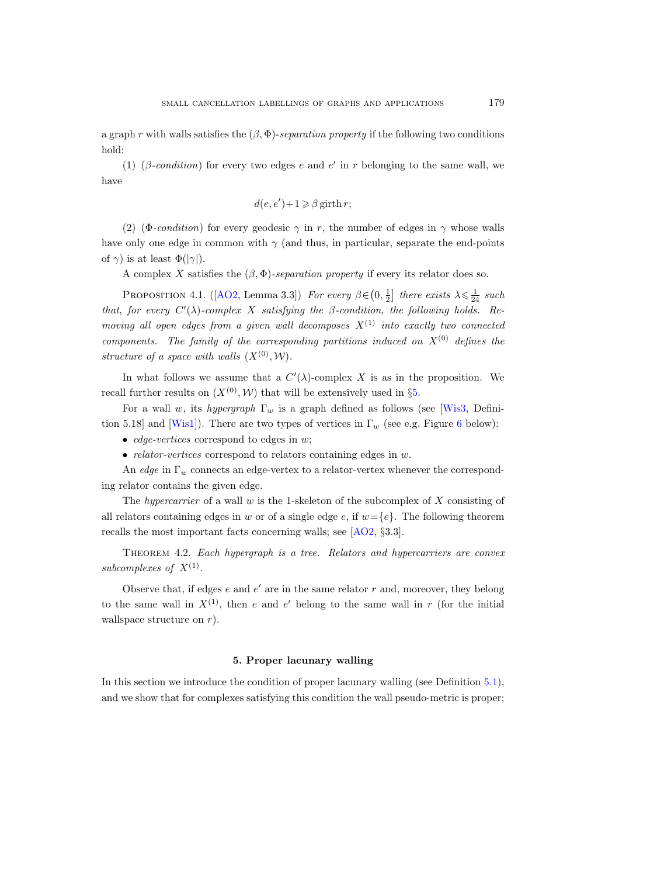a graph r with walls satisfies the  $(\beta, \Phi)$ -separation property if the following two conditions hold:

(1) ( $\beta$ -condition) for every two edges e and e' in r belonging to the same wall, we have

$$
d(e, e') + 1 \geq \beta \text{ girth } r;
$$

(2) (Φ-condition) for every geodesic  $\gamma$  in r, the number of edges in  $\gamma$  whose walls have only one edge in common with  $\gamma$  (and thus, in particular, separate the end-points of  $\gamma$ ) is at least  $\Phi(|\gamma|)$ .

A complex X satisfies the  $(\beta, \Phi)$ -separation property if every its relator does so.

<span id="page-20-1"></span>PROPOSITION4.1. ([\[AO2,](#page-30-4) Lemma 3.3]) For every  $\beta \in (0, \frac{1}{2}]$  there exists  $\lambda \leq \frac{1}{24}$  such that, for every  $C'(\lambda)$ -complex X satisfying the  $\beta$ -condition, the following holds. Removing all open edges from a given wall decomposes  $X^{(1)}$  into exactly two connected components. The family of the corresponding partitions induced on  $X^{(0)}$  defines the structure of a space with walls  $(X^{(0)}, W)$ .

In what follows we assume that a  $C'(\lambda)$ -complex X is as in the proposition. We recall further results on  $(X^{(0)}, W)$  that will be extensively used in §[5.](#page-20-0)

For a wall w, its hypergraph  $\Gamma_w$  is a graph defined as follows (see [\[Wis3,](#page-32-8) Defini-tion 5.18] and [\[Wis1\]](#page-32-10)). There are two types of vertices in  $\Gamma_w$  (see e.g. Figure [6](#page-22-0) below):

- *edge-vertices* correspond to edges in  $w$ ;
- *relator-vertices* correspond to relators containing edges in  $w$ .

An edge in  $\Gamma_w$  connects an edge-vertex to a relator-vertex whenever the corresponding relator contains the given edge.

The hypercarrier of a wall w is the 1-skeleton of the subcomplex of  $X$  consisting of all relators containing edges in w or of a single edge e, if  $w = \{e\}$ . The following theorem recalls the most important facts concerning walls; see [\[AO2,](#page-30-4) §3.3].

<span id="page-20-2"></span>THEOREM 4.2. Each hypergraph is a tree. Relators and hypercarriers are convex subcomplexes of  $X^{(1)}$ .

Observe that, if edges  $e$  and  $e'$  are in the same relator  $r$  and, moreover, they belong to the same wall in  $X^{(1)}$ , then e and e' belong to the same wall in r (for the initial wallspace structure on  $r$ ).

#### 5. Proper lacunary walling

<span id="page-20-0"></span>In this section we introduce the condition of proper lacunary walling (see Definition [5.1\)](#page-21-0), and we show that for complexes satisfying this condition the wall pseudo-metric is proper;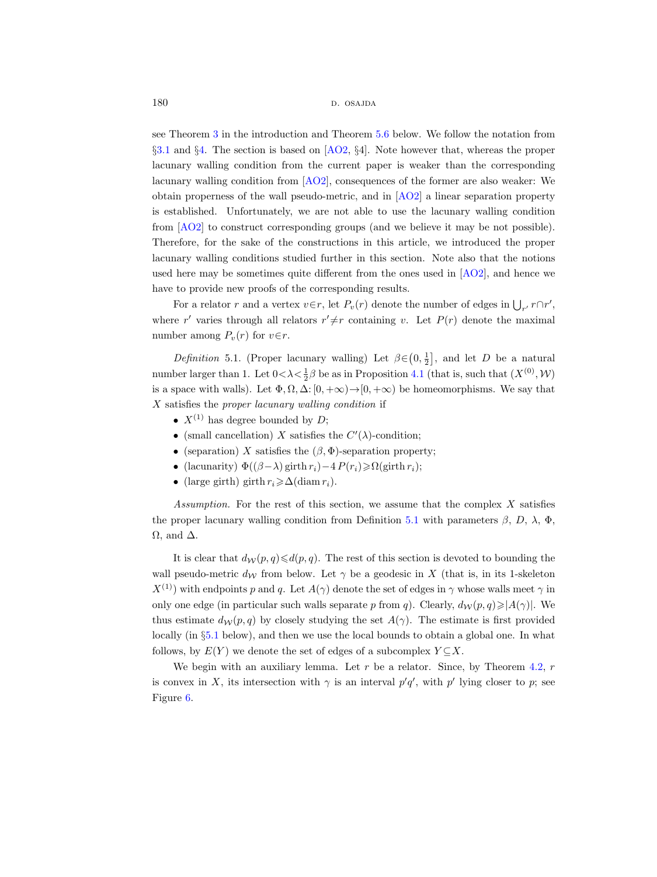180 d. osajda d. osajda d. osajda d. osajda d. osajda d. osajda d. osajda d. osajda d. osajda d. osajda d. osa

see Theorem [3](#page-3-1) in the introduction and Theorem [5.6](#page-25-0) below. We follow the notation from §[3.1](#page-16-2) and §[4.](#page-19-0) The section is based on [\[AO2,](#page-30-4) §4]. Note however that, whereas the proper lacunary walling condition from the current paper is weaker than the corresponding lacunary walling condition from [\[AO2\]](#page-30-4), consequences of the former are also weaker: We obtain properness of the wall pseudo-metric, and in [\[AO2\]](#page-30-4) a linear separation property is established. Unfortunately, we are not able to use the lacunary walling condition from [\[AO2\]](#page-30-4) to construct corresponding groups (and we believe it may be not possible). Therefore, for the sake of the constructions in this article, we introduced the proper lacunary walling conditions studied further in this section. Note also that the notions used here may be sometimes quite different from the ones used in [\[AO2\]](#page-30-4), and hence we have to provide new proofs of the corresponding results.

For a relator r and a vertex  $v \in r$ , let  $P_v(r)$  denote the number of edges in  $\bigcup_{r'} r \cap r'$ , where r' varies through all relators  $r' \neq r$  containing v. Let  $P(r)$  denote the maximal number among  $P_v(r)$  for  $v \in r$ .

<span id="page-21-0"></span>Definition 5.1. (Proper lacunary walling) Let  $\beta \in (0, \frac{1}{2}]$ , and let D be a natural number larger than 1. Let  $0 < \lambda < \frac{1}{2}\beta$  be as in Proposition [4.1](#page-20-1) (that is, such that  $(X^{(0)}, W)$ ) is a space with walls). Let  $\Phi, \Omega, \Delta: [0, +\infty) \to [0, +\infty)$  be homeomorphisms. We say that  $X$  satisfies the proper lacunary walling condition if

- $X^{(1)}$  has degree bounded by D;
- (small cancellation) X satisfies the  $C'(\lambda)$ -condition;
- (separation) X satisfies the  $(\beta, \Phi)$ -separation property;
- (lacunarity)  $\Phi((\beta \lambda) \text{ girth } r_i) 4 P(r_i) \geq \Omega(\text{ girth } r_i);$
- (large girth) girth  $r_i \geq \Delta(\text{diam } r_i)$ .

Assumption. For the rest of this section, we assume that the complex  $X$  satisfies the proper lacunary walling condition from Definition [5.1](#page-21-0) with parameters  $\beta$ , D,  $\lambda$ ,  $\Phi$ ,  $\Omega$ , and  $\Delta$ .

It is clear that  $d_W(p, q) \le d(p, q)$ . The rest of this section is devoted to bounding the wall pseudo-metric  $d_{\mathcal{W}}$  from below. Let  $\gamma$  be a geodesic in X (that is, in its 1-skeleton  $X^{(1)}$ ) with endpoints p and q. Let  $A(\gamma)$  denote the set of edges in  $\gamma$  whose walls meet  $\gamma$  in only one edge (in particular such walls separate p from q). Clearly,  $d_W(p,q) \geq |A(\gamma)|$ . We thus estimate  $d_W(p,q)$  by closely studying the set  $A(\gamma)$ . The estimate is first provided locally (in §[5.1](#page-22-1) below), and then we use the local bounds to obtain a global one. In what follows, by  $E(Y)$  we denote the set of edges of a subcomplex  $Y \subseteq X$ .

We begin with an auxiliary lemma. Let  $r$  be a relator. Since, by Theorem [4.2,](#page-20-2)  $r$ is convex in X, its intersection with  $\gamma$  is an interval  $p'q'$ , with  $p'$  lying closer to p; see Figure [6.](#page-22-0)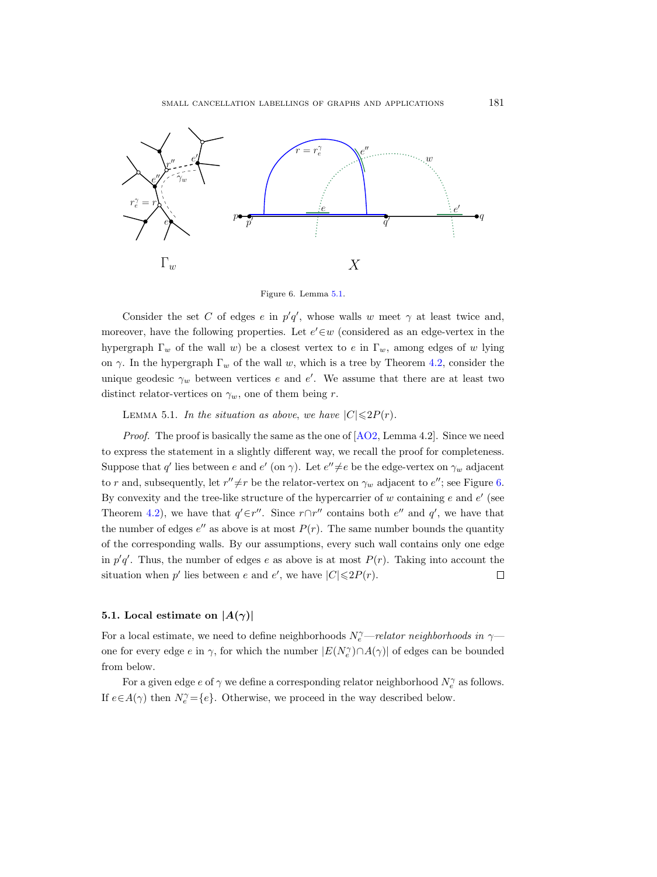

<span id="page-22-0"></span>Figure 6. Lemma [5.1.](#page-22-2)

Consider the set C of edges e in  $p'q'$ , whose walls w meet  $\gamma$  at least twice and, moreover, have the following properties. Let  $e' \in w$  (considered as an edge-vertex in the hypergraph  $\Gamma_w$  of the wall w) be a closest vertex to e in  $\Gamma_w$ , among edges of w lying on  $\gamma$ . In the hypergraph  $\Gamma_w$  of the wall w, which is a tree by Theorem [4.2,](#page-20-2) consider the unique geodesic  $\gamma_w$  between vertices e and e'. We assume that there are at least two distinct relator-vertices on  $\gamma_w$ , one of them being r.

<span id="page-22-2"></span>LEMMA 5.1. In the situation as above, we have  $|C| \leq 2P(r)$ .

*Proof.* The proof is basically the same as the one of  $[AO2, Lemma 4.2]$ . Since we need to express the statement in a slightly different way, we recall the proof for completeness. Suppose that q' lies between e and  $e'$  (on  $\gamma$ ). Let  $e'' \neq e$  be the edge-vertex on  $\gamma_w$  adjacent to r and, subsequently, let  $r'' \neq r$  be the relator-vertex on  $\gamma_w$  adjacent to  $e''$ ; see Figure [6.](#page-22-0) By convexity and the tree-like structure of the hypercarrier of  $w$  containing  $e$  and  $e'$  (see Theorem [4.2\)](#page-20-2), we have that  $q' \in r''$ . Since  $r \cap r''$  contains both  $e''$  and  $q'$ , we have that the number of edges  $e''$  as above is at most  $P(r)$ . The same number bounds the quantity of the corresponding walls. By our assumptions, every such wall contains only one edge in  $p'q'$ . Thus, the number of edges e as above is at most  $P(r)$ . Taking into account the situation when  $p'$  lies between  $e$  and  $e'$ , we have  $|C| \le 2P(r)$ .  $\Box$ 

#### <span id="page-22-1"></span>5.1. Local estimate on  $|A(\gamma)|$

For a local estimate, we need to define neighborhoods  $N_e^{\gamma}-relator$  neighborhoods in  $\gamma$ one for every edge  $e$  in  $\gamma$ , for which the number  $|E(N_e^{\gamma}) \cap A(\gamma)|$  of edges can be bounded from below.

For a given edge  $e$  of  $\gamma$  we define a corresponding relator neighborhood  $N_e^\gamma$  as follows. If  $e \in A(\gamma)$  then  $N_e^{\gamma} = \{e\}$ . Otherwise, we proceed in the way described below.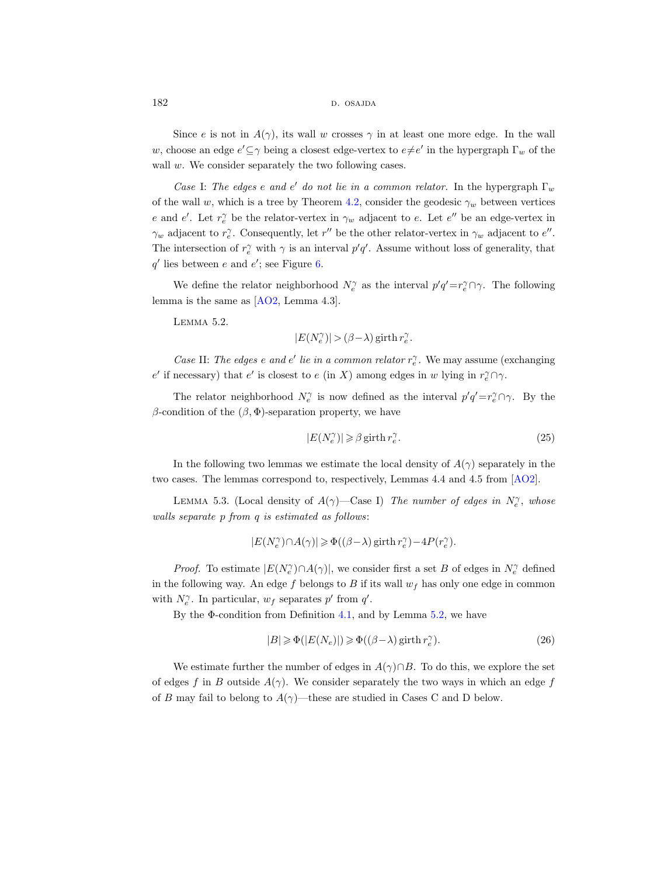Since e is not in  $A(\gamma)$ , its wall w crosses  $\gamma$  in at least one more edge. In the wall w, choose an edge  $e' \subseteq \gamma$  being a closest edge-vertex to  $e \neq e'$  in the hypergraph  $\Gamma_w$  of the wall w. We consider separately the two following cases.

Case I: The edges e and e' do not lie in a common relator. In the hypergraph  $\Gamma_w$ of the wall w, which is a tree by Theorem [4.2,](#page-20-2) consider the geodesic  $\gamma_w$  between vertices e and e'. Let  $r_e^{\gamma}$  be the relator-vertex in  $\gamma_w$  adjacent to e. Let e'' be an edge-vertex in  $\gamma_w$  adjacent to  $r_e^{\gamma}$ . Consequently, let r'' be the other relator-vertex in  $\gamma_w$  adjacent to  $e''$ . The intersection of  $r_e^{\gamma}$  with  $\gamma$  is an interval  $p'q'$ . Assume without loss of generality, that  $q'$  lies between e and e'; see Figure [6.](#page-22-0)

We define the relator neighborhood  $N_e^{\gamma}$  as the interval  $p'q' = r_e^{\gamma} \cap \gamma$ . The following lemma is the same as [\[AO2,](#page-30-4) Lemma 4.3].

<span id="page-23-0"></span>Lemma 5.2.

 $|E(N_{e}^{\gamma})| > (\beta-\lambda) \operatorname{girth} r_{e}^{\gamma}.$ 

Case II: The edges e and e' lie in a common relator  $r_e^{\gamma}$ . We may assume (exchanging e' if necessary) that e' is closest to e (in X) among edges in w lying in  $r_e^{\gamma} \cap \gamma$ .

The relator neighborhood  $N_e^{\gamma}$  is now defined as the interval  $p'q' = r_e^{\gamma} \cap \gamma$ . By the β-condition of the  $(β, Φ)$ -separation property, we have

<span id="page-23-3"></span>
$$
|E(N_e^{\gamma})| \geqslant \beta \operatorname{girth} r_e^{\gamma}.\tag{25}
$$

In the following two lemmas we estimate the local density of  $A(\gamma)$  separately in the two cases. The lemmas correspond to, respectively, Lemmas 4.4 and 4.5 from [\[AO2\]](#page-30-4).

<span id="page-23-1"></span>LEMMA 5.3. (Local density of  $A(\gamma)$ —Case I) The number of edges in  $N_e^{\gamma}$ , whose walls separate p from q is estimated as follows:

$$
|E(N_e^\gamma) \cap A(\gamma)| \geqslant \Phi\big((\beta-\lambda)\operatorname{girth} r_e^\gamma\big) - 4 P\big(r_e^\gamma\big).
$$

*Proof.* To estimate  $|E(N_e^{\gamma}) \cap A(\gamma)|$ , we consider first a set B of edges in  $N_e^{\gamma}$  defined in the following way. An edge f belongs to B if its wall  $w_f$  has only one edge in common with  $N_e^{\gamma}$ . In particular,  $w_f$  separates p' from q'.

By the  $\Phi$ -condition from Definition [4.1,](#page-19-2) and by Lemma [5.2,](#page-23-0) we have

<span id="page-23-2"></span>
$$
|B| \geq \Phi(|E(N_e)|) \geq \Phi((\beta - \lambda) \text{ girth } r_e^{\gamma}).
$$
\n(26)

We estimate further the number of edges in  $A(\gamma) \cap B$ . To do this, we explore the set of edges f in B outside  $A(\gamma)$ . We consider separately the two ways in which an edge f of B may fail to belong to  $A(\gamma)$ —these are studied in Cases C and D below.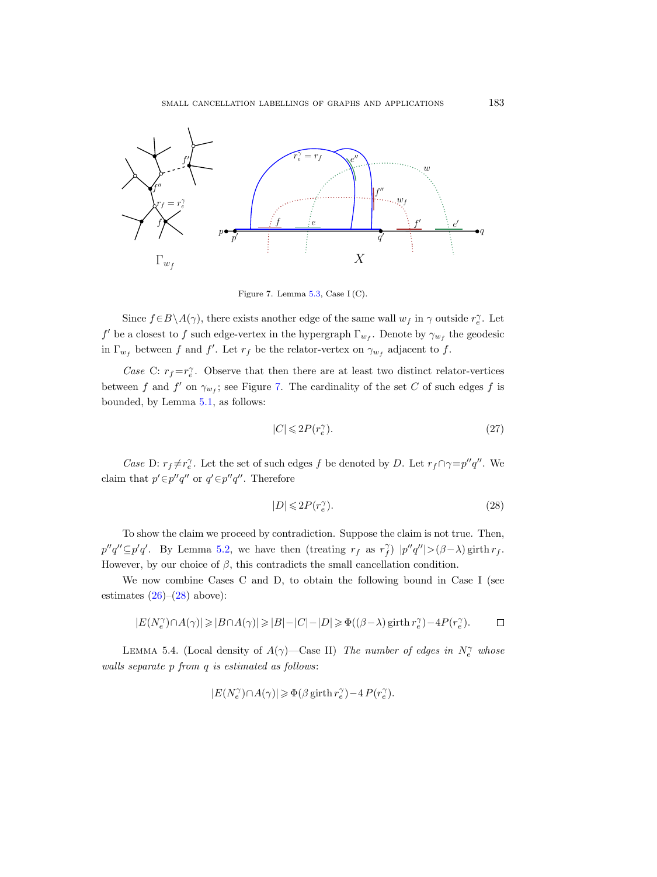

<span id="page-24-0"></span>Figure 7. Lemma [5.3,](#page-23-1) Case I (C).

Since  $f \in B \setminus A(\gamma)$ , there exists another edge of the same wall  $w_f$  in  $\gamma$  outside  $r_e^{\gamma}$ . Let f' be a closest to f such edge-vertex in the hypergraph  $\Gamma_{w_f}$ . Denote by  $\gamma_{w_f}$  the geodesic in  $\Gamma_{w_f}$  between f and f'. Let  $r_f$  be the relator-vertex on  $\gamma_{w_f}$  adjacent to f.

Case C:  $r_f = r_e^{\gamma}$ . Observe that then there are at least two distinct relator-vertices between f and f' on  $\gamma_{w_f}$ ; see Figure [7.](#page-24-0) The cardinality of the set C of such edges f is bounded, by Lemma [5.1,](#page-22-2) as follows:

$$
|C| \leqslant 2P(r_e^{\gamma}). \tag{27}
$$

*Case* D:  $r_f \neq r_e^{\gamma}$ . Let the set of such edges f be denoted by D. Let  $r_f \cap \gamma = p''q''$ . We claim that  $p' \in p''q''$  or  $q' \in p''q''$ . Therefore

<span id="page-24-1"></span>
$$
|D| \leqslant 2P(r_e^{\gamma}).\tag{28}
$$

To show the claim we proceed by contradiction. Suppose the claim is not true. Then,  $p''q''\subseteq p'q'.$  By Lemma [5.2,](#page-23-0) we have then (treating  $r_f$  as  $r_f^{\gamma}$ )  $|p''q''|>(\beta-\lambda)$  girth  $r_f$ . However, by our choice of  $\beta$ , this contradicts the small cancellation condition.

We now combine Cases C and D, to obtain the following bound in Case I (see estimates  $(26)-(28)$  $(26)-(28)$  above):

$$
|E(N_e^\gamma) \cap A(\gamma)| \geqslant |B \cap A(\gamma)| \geqslant |B| - |C| - |D| \geqslant \Phi\big((\beta - \lambda)\operatorname{girth} r_e^\gamma\big) - 4 P\big(r_e^\gamma\big). \qquad \ \ \Box
$$

<span id="page-24-2"></span>LEMMA 5.4. (Local density of  $A(\gamma)$ —Case II) The number of edges in  $N_e^{\gamma}$  whose walls separate p from q is estimated as follows:

$$
|E(N_e^\gamma) \cap A(\gamma)| \geqslant \Phi\bigl(\beta \mathop{\rm girth}\nolimits r_e^\gamma\bigr) - 4\, P\bigl(r_e^\gamma\bigr).
$$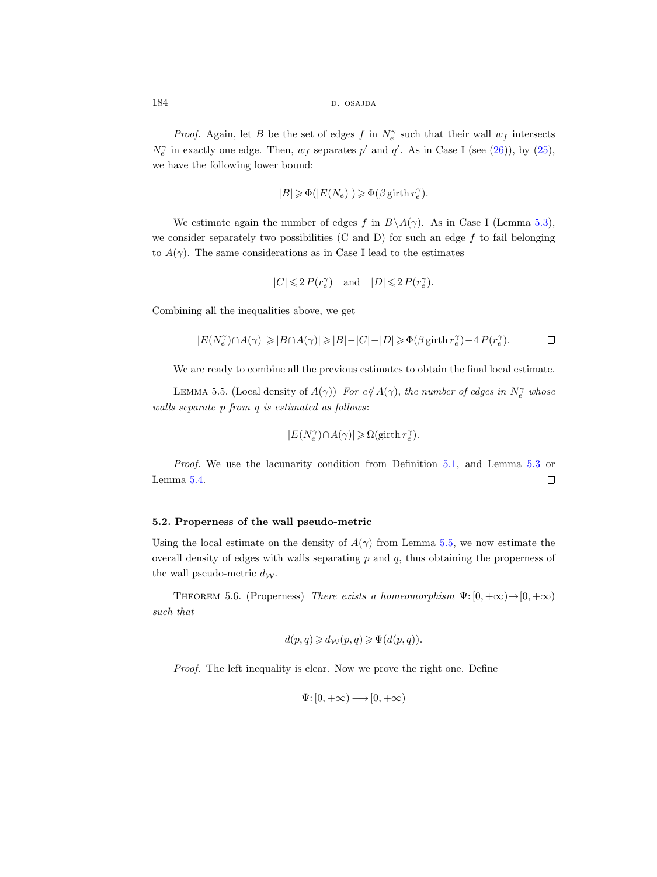*Proof.* Again, let B be the set of edges f in  $N_e^{\gamma}$  such that their wall  $w_f$  intersects  $N_e^{\gamma}$  in exactly one edge. Then,  $w_f$  separates  $p'$  and  $q'$ . As in Case I (see [\(26\)](#page-23-2)), by [\(25\)](#page-23-3), we have the following lower bound:

$$
|B|\geqslant \Phi(|E(N_e)|)\geqslant \Phi\bigl(\beta \mathop{\rm girth}\nolimits r_e^\gamma\bigr).
$$

We estimate again the number of edges f in  $B\setminus A(\gamma)$ . As in Case I (Lemma [5.3\)](#page-23-1), we consider separately two possibilities (C and D) for such an edge  $f$  to fail belonging to  $A(\gamma)$ . The same considerations as in Case I lead to the estimates

$$
|C|\leqslant 2\,P(r_e^\gamma)\quad\text{and}\quad |D|\leqslant 2\,P(r_e^\gamma).
$$

Combining all the inequalities above, we get

$$
|E(N_e^\gamma) \cap A(\gamma)| \geqslant |B \cap A(\gamma)| \geqslant |B| - |C| - |D| \geqslant \Phi\bigl(\beta \operatorname{girth} r_e^\gamma\bigr) - 4\, P(r_e^\gamma). \qquad \qquad \Box
$$

We are ready to combine all the previous estimates to obtain the final local estimate.

<span id="page-25-1"></span>LEMMA 5.5. (Local density of  $A(\gamma)$ ) For  $e \notin A(\gamma)$ , the number of edges in  $N_e^{\gamma}$  whose walls separate p from q is estimated as follows:

$$
|E(N_e^\gamma) \cap A(\gamma)| \geqslant \Omega(\text{girth}\, r_e^\gamma).
$$

Proof. We use the lacunarity condition from Definition [5.1,](#page-21-0) and Lemma [5.3](#page-23-1) or Lemma [5.4.](#page-24-2)  $\Box$ 

#### 5.2. Properness of the wall pseudo-metric

Using the local estimate on the density of  $A(\gamma)$  from Lemma [5.5,](#page-25-1) we now estimate the overall density of edges with walls separating  $p$  and  $q$ , thus obtaining the properness of the wall pseudo-metric  $d_{\mathcal{W}}$ .

<span id="page-25-0"></span>THEOREM 5.6. (Properness) There exists a homeomorphism  $\Psi: [0, +\infty) \to [0, +\infty)$ such that

$$
d(p,q) \geq d_{\mathcal{W}}(p,q) \geq \Psi(d(p,q)).
$$

Proof. The left inequality is clear. Now we prove the right one. Define

$$
\Psi\hbox{\rm :}\ [0,+\infty) \longrightarrow [0,+\infty)
$$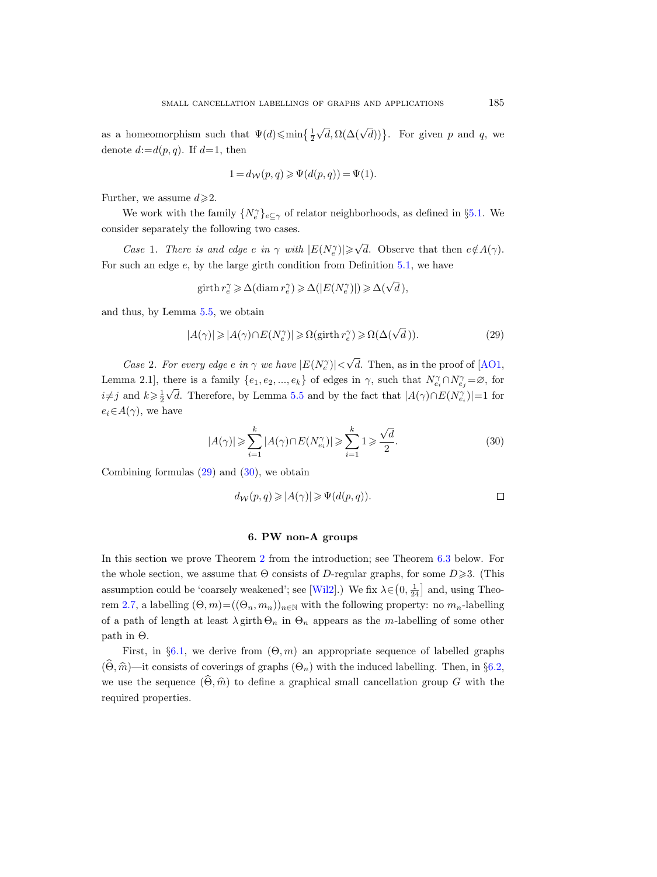as a homeomorphism such that  $\Psi(d) \leqslant \min\left\{\frac{1}{2}\sqrt{d}, \Omega(\Delta(\sqrt{d}))\right\}$ . For given p and q, we denote  $d:=d(p,q)$ . If  $d=1$ , then

$$
1 = d_{\mathcal{W}}(p, q) \geqslant \Psi(d(p, q)) = \Psi(1).
$$

Further, we assume  $d \geq 2$ .

We work with the family  $\{N_e^{\gamma}\}_{e\subseteq \gamma}$  of relator neighborhoods, as defined in §[5.1.](#page-22-1) We consider separately the following two cases.

Case 1. There is and edge e in  $\gamma$  with  $|E(N_e^{\gamma})| \ge \sqrt{d}$ . Observe that then  $e \notin A(\gamma)$ . For such an edge  $e$ , by the large girth condition from Definition [5.1,](#page-21-0) we have

<span id="page-26-1"></span>
$$
\text{girth } r_e^{\gamma} \geq \Delta(\text{diam } r_e^{\gamma}) \geq \Delta(|E(N_e^{\gamma})|) \geq \Delta(\sqrt{d}),
$$

and thus, by Lemma [5.5,](#page-25-1) we obtain

$$
|A(\gamma)| \geqslant |A(\gamma) \cap E(N_e^{\gamma})| \geqslant \Omega(\text{girth } r_e^{\gamma}) \geqslant \Omega(\Delta(\sqrt{d})).
$$
\n<sup>(29)</sup>

Case 2. For every edge e in  $\gamma$  we have  $|E(N_e^{\gamma})|<\sqrt{d}$ . Then, as in the proof of [\[AO1,](#page-30-7) Lemma 2.1], there is a family  $\{e_1, e_2, ..., e_k\}$  of edges in  $\gamma$ , such that  $N_{e_i}^{\gamma} \cap N_{e_j}^{\gamma} = \emptyset$ , for  $i \neq j$  and  $k \geq \frac{1}{2}\sqrt{d}$ . Therefore, by Lemma [5.5](#page-25-1) and by the fact that  $|A(\gamma) \cap E(N_{e_i}^{\gamma})| = 1$  for  $e_i \in A(\gamma)$ , we have

$$
|A(\gamma)| \geqslant \sum_{i=1}^{k} |A(\gamma) \cap E(N_{e_i}^{\gamma})| \geqslant \sum_{i=1}^{k} 1 \geqslant \frac{\sqrt{d}}{2}.\tag{30}
$$

Combining formulas  $(29)$  and  $(30)$ , we obtain

<span id="page-26-2"></span>
$$
d_{\mathcal{W}}(p,q) \geqslant |A(\gamma)| \geqslant \Psi(d(p,q)). \qquad \qquad \Box
$$

#### 6. PW non-A groups

<span id="page-26-0"></span>In this section we prove Theorem [2](#page-2-0) from the introduction; see Theorem [6.3](#page-30-5) below. For the whole section, we assume that  $\Theta$  consists of D-regular graphs, for some  $D \ge 3$ . (This assumption could be 'coarsely weakened'; see [\[Wil2\]](#page-32-4).) We fix  $\lambda \in (0, \frac{1}{24}]$  and, using Theo-rem [2.7,](#page-14-2) a labelling  $(\Theta, m) = ((\Theta_n, m_n))_{n \in \mathbb{N}}$  with the following property: no  $m_n$ -labelling of a path of length at least  $\lambda$  girth  $\Theta_n$  in  $\Theta_n$  appears as the m-labelling of some other  $path in Θ.$ 

First, in §[6.1,](#page-27-0) we derive from  $(\Theta, m)$  an appropriate sequence of labelled graphs  $(\Theta, \hat{m})$ —it consists of coverings of graphs  $(\Theta_n)$  with the induced labelling. Then, in §[6.2,](#page-29-0) we use the sequence  $(\widehat{\Theta}, \widehat{m})$  to define a graphical small cancellation group G with the required properties.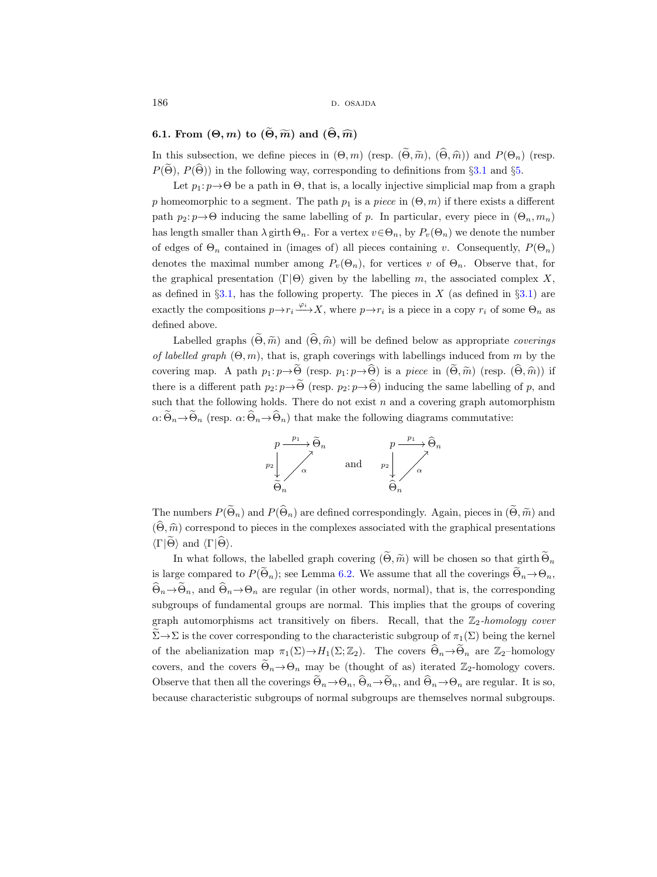186 d. osajda d. osajda d. osajda d. osajda d. osajda d. osajda d. osajda d. osajda d. osajda d. osajda d. osa

## <span id="page-27-0"></span>6.1. From  $(\Theta, m)$  to  $(\widetilde{\Theta}, \widetilde{m})$  and  $(\widehat{\Theta}, \widehat{m})$

In this subsection, we define pieces in  $(\Theta, m)$  (resp.  $(\widetilde{\Theta}, \widetilde{m}), (\widehat{\Theta}, \widehat{m})$ ) and  $P(\Theta_n)$  (resp.  $P(\widetilde{\Theta})$ ,  $P(\widehat{\Theta})$ ) in the following way, corresponding to definitions from §[3.1](#page-16-2) and §[5.](#page-20-0)

Let  $p_1: p \rightarrow \Theta$  be a path in  $\Theta$ , that is, a locally injective simplicial map from a graph p homeomorphic to a segment. The path  $p_1$  is a piece in  $(\Theta, m)$  if there exists a different path  $p_2: p \rightarrow \Theta$  inducing the same labelling of p. In particular, every piece in  $(\Theta_n, m_n)$ has length smaller than  $\lambda$  girth  $\Theta_n$ . For a vertex  $v \in \Theta_n$ , by  $P_v(\Theta_n)$  we denote the number of edges of  $\Theta_n$  contained in (images of) all pieces containing v. Consequently,  $P(\Theta_n)$ denotes the maximal number among  $P_v(\Theta_n)$ , for vertices v of  $\Theta_n$ . Observe that, for the graphical presentation  $\langle \Gamma | \Theta \rangle$  given by the labelling m, the associated complex X, as defined in  $\S 3.1$ , has the following property. The pieces in X (as defined in  $\S 3.1$ ) are exactly the compositions  $p \to r_i \xrightarrow{\varphi_i} X$ , where  $p \to r_i$  is a piece in a copy  $r_i$  of some  $\Theta_n$  as defined above.

Labelled graphs  $(\widetilde{\Theta}, \widetilde{m})$  and  $(\widehat{\Theta}, \widehat{m})$  will be defined below as appropriate coverings of labelled graph  $(\Theta, m)$ , that is, graph coverings with labellings induced from m by the covering map. A path  $p_1: p \rightarrow \widetilde{\Theta}$  (resp.  $p_1: p \rightarrow \widehat{\Theta}$ ) is a piece in  $(\widetilde{\Theta}, \widetilde{m})$  (resp.  $(\widehat{\Theta}, \widehat{m})$ ) if there is a different path  $p_2: p \rightarrow \widetilde{\Theta}$  (resp.  $p_2: p \rightarrow \widehat{\Theta}$ ) inducing the same labelling of p, and such that the following holds. There do not exist  $n$  and a covering graph automorphism  $\alpha: \widetilde{\Theta}_n \to \widetilde{\Theta}_n$  (resp.  $\alpha: \widehat{\Theta}_n \to \widehat{\Theta}_n$ ) that make the following diagrams commutative:



The numbers  $P(\widetilde{\Theta}_n)$  and  $P(\widehat{\Theta}_n)$  are defined correspondingly. Again, pieces in  $(\widetilde{\Theta}, \widetilde{m})$  and  $(\widehat{\Theta}, \widehat{m})$  correspond to pieces in the complexes associated with the graphical presentations  $\langle \Gamma | \tilde{\Theta} \rangle$  and  $\langle \Gamma | \tilde{\Theta} \rangle$ .

In what follows, the labelled graph covering  $(\widetilde{\Theta}, \widetilde{m})$  will be chosen so that girth  $\widetilde{\Theta}_n$ is large compared to  $P(\widetilde{\Theta}_n)$ ; see Lemma [6.2.](#page-28-0) We assume that all the coverings  $\widetilde{\Theta}_n \rightarrow \Theta_n$ ,  $\Theta_n \rightarrow \Theta_n$ , and  $\Theta_n \rightarrow \Theta_n$  are regular (in other words, normal), that is, the corresponding subgroups of fundamental groups are normal. This implies that the groups of covering graph automorphisms act transitively on fibers. Recall, that the  $\mathbb{Z}_2$ -homology cover  $\widetilde{\Sigma} \to \Sigma$  is the cover corresponding to the characteristic subgroup of  $\pi_1(\Sigma)$  being the kernel of the abelianization map  $\pi_1(\Sigma) \to H_1(\Sigma; \mathbb{Z}_2)$ . The covers  $\Theta_n \to \Theta_n$  are  $\mathbb{Z}_2$ -homology covers, and the covers  $\widetilde{\Theta}_n \rightarrow \Theta_n$  may be (thought of as) iterated  $\mathbb{Z}_2$ -homology covers. Observe that then all the coverings  $\widetilde{\Theta}_n \rightarrow \Theta_n$ ,  $\widehat{\Theta}_n \rightarrow \widetilde{\Theta}_n$ , and  $\widehat{\Theta}_n \rightarrow \Theta_n$  are regular. It is so, because characteristic subgroups of normal subgroups are themselves normal subgroups.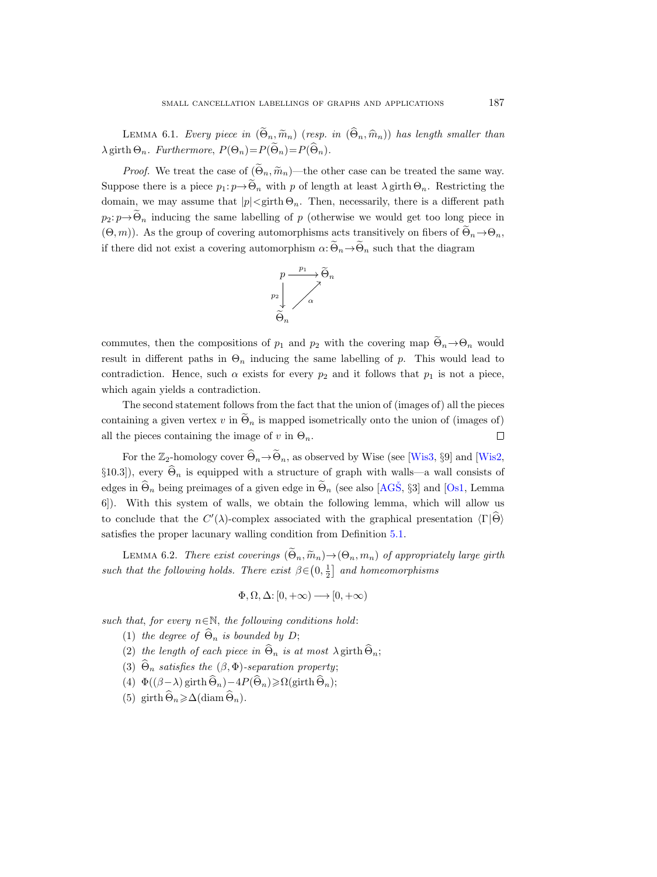<span id="page-28-1"></span>LEMMA 6.1. Every piece in  $(\widetilde{\Theta}_n, \widetilde{m}_n)$  (resp. in  $(\widehat{\Theta}_n, \widehat{m}_n)$ ) has length smaller than  $\lambda$  girth  $\Theta_n$ . Furthermore,  $P(\Theta_n)=P(\widetilde{\Theta}_n)=P(\widehat{\Theta}_n)$ .

*Proof.* We treat the case of  $(\widetilde{\Theta}_n, \widetilde{m}_n)$ —the other case can be treated the same way. Suppose there is a piece  $p_1: p \to \widetilde{\Theta}_n$  with p of length at least  $\lambda$  girth  $\Theta_n$ . Restricting the domain, we may assume that  $|p| < \text{girth } \Theta_n$ . Then, necessarily, there is a different path  $p_2: p \rightarrow \widetilde{\Theta}_n$  inducing the same labelling of p (otherwise we would get too long piece in  $(\Theta, m)$ ). As the group of covering automorphisms acts transitively on fibers of  $\widetilde{\Theta}_n \rightarrow \Theta_n$ , if there did not exist a covering automorphism  $\alpha$ :  $\widetilde{\Theta}_n \rightarrow \widetilde{\Theta}_n$  such that the diagram



commutes, then the compositions of  $p_1$  and  $p_2$  with the covering map  $\Theta_n \rightarrow \Theta_n$  would result in different paths in  $\Theta_n$  inducing the same labelling of p. This would lead to contradiction. Hence, such  $\alpha$  exists for every  $p_2$  and it follows that  $p_1$  is not a piece, which again yields a contradiction.

The second statement follows from the fact that the union of (images of) all the pieces containing a given vertex v in  $\tilde{\Theta}_n$  is mapped isometrically onto the union of (images of) all the pieces containing the image of v in  $\Theta_n$ . all the pieces containing the image of v in  $\Theta_n$ .

For the  $\mathbb{Z}_2$ -homology cover  $\widehat{\Theta}_n \to \widetilde{\Theta}_n$ , as observed by Wise (see [\[Wis3,](#page-32-8) §9] and [\[Wis2,](#page-32-9) §10.3]), every  $\widehat{\Theta}_n$  is equipped with a structure of graph with walls—a wall consists of edges in  $\Theta_n$  being preimages of a given edge in  $\Theta_n$  (see also [AGS̆, §3] and [\[Os1,](#page-31-15) Lemma 6]). With this system of walls, we obtain the following lemma, which will allow us to conclude that the  $C'(\lambda)$ -complex associated with the graphical presentation  $\langle \Gamma | \hat{\Theta} \rangle$ satisfies the proper lacunary walling condition from Definition [5.1.](#page-21-0)

<span id="page-28-0"></span>LEMMA 6.2. There exist coverings  $(\widetilde{\Theta}_n, \widetilde{m}_n) \rightarrow (\Theta_n, m_n)$  of appropriately large girth such that the following holds. There exist  $\beta \in (0, \frac{1}{2}]$  and homeomorphisms

$$
\Phi,\Omega,\Delta\!\!: \left[0,+\infty\right)\longrightarrow\left[0,+\infty\right)
$$

such that, for every  $n \in \mathbb{N}$ , the following conditions hold:

- (1) the degree of  $\widehat{\Theta}_n$  is bounded by D;
- (2) the length of each piece in  $\widehat{\Theta}_n$  is at most  $\lambda$  girth  $\widehat{\Theta}_n$ ;
- (3)  $\widehat{\Theta}_n$  satisfies the  $(\beta, \Phi)$ -separation property;
- (4)  $\Phi((\beta \lambda) \text{ girth } \widehat{\Theta}_n) 4P(\widehat{\Theta}_n) \ge \Omega(\text{ girth } \widehat{\Theta}_n);$
- (5) girth  $\widehat{\Theta}_n \geq \Delta(\text{diam}\,\widehat{\Theta}_n)$ .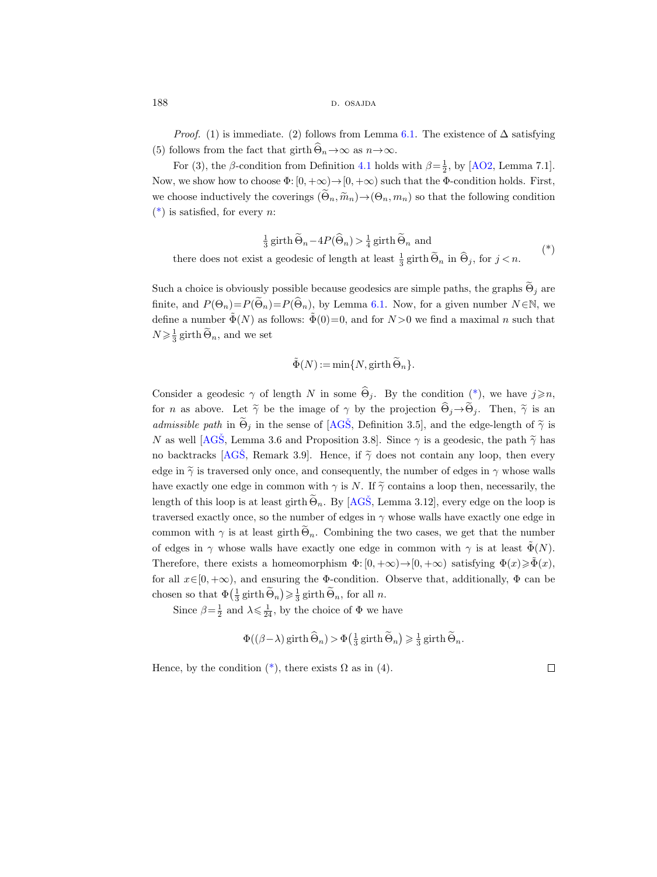188 d. osajda b. osajda b. osajda b. osajda b. osajda b. osajda b. osajda b. osajda b. osajda b. osajda b. osa

*Proof.* (1) is immediate. (2) follows from Lemma [6.1.](#page-28-1) The existence of  $\Delta$  satisfying (5) follows from the fact that girth  $\widehat{\Theta}_n \to \infty$  as  $n \to \infty$ .

For (3), the  $\beta$ -condition from Definition [4.1](#page-19-2) holds with  $\beta = \frac{1}{2}$ , by [\[AO2,](#page-30-4) Lemma 7.1]. Now, we show how to choose  $\Phi$ :  $[0, +\infty) \rightarrow [0, +\infty)$  such that the  $\Phi$ -condition holds. First, we choose inductively the coverings  $(\widetilde{\Theta}_n, \widetilde{m}_n) \to (\Theta_n, m_n)$  so that the following condition  $(*)$  is satisfied, for every *n*:

 $\frac{1}{3}$  girth  $\widetilde{\Theta}_n - 4P(\widehat{\Theta}_n) > \frac{1}{4}$  girth  $\widetilde{\Theta}_n$  and there does not exist a geodesic of length at least  $\frac{1}{3}$  girth  $\tilde{\Theta}_n$  in  $\hat{\Theta}_j$ , for  $j < n$ . (\*)

Such a choice is obviously possible because geodesics are simple paths, the graphs  $\widetilde{\Theta}_j$  are finite, and  $P(\Theta_n)=P(\widetilde{\Theta}_n)=P(\widehat{\Theta}_n)$ , by Lemma [6.1.](#page-28-1) Now, for a given number  $N \in \mathbb{N}$ , we define a number  $\tilde{\Phi}(N)$  as follows:  $\tilde{\Phi}(0)=0$ , and for  $N>0$  we find a maximal n such that  $N \geq \frac{1}{3}$  girth  $\widetilde{\Theta}_n$ , and we set

<span id="page-29-1"></span>
$$
\tilde{\Phi}(N) := \min\{N, \text{girth}\,\widetilde{\Theta}_n\}.
$$

Consider a geodesic  $\gamma$  of length N in some  $\widehat{\Theta}_j$ . By the condition [\(\\*\)](#page-29-1), we have  $j \geq n$ , for *n* as above. Let  $\tilde{\gamma}$  be the image of  $\gamma$  by the projection  $\hat{\Theta}_j \rightarrow \tilde{\Theta}_j$ . Then,  $\tilde{\gamma}$  is an admissible path in  $\widetilde{\Theta}_j$  in the sense of [AGS̆, Definition 3.5], and the edge-length of  $\widetilde{\gamma}$  is N as well [AGŠ, Lemma 3.6 and Proposition 3.8]. Since  $\gamma$  is a geodesic, the path  $\tilde{\gamma}$  has no backtracks [AGS̄, Remark 3.9]. Hence, if  $\tilde{\gamma}$  does not contain any loop, then every edge in  $\tilde{\gamma}$  is traversed only once, and consequently, the number of edges in  $\gamma$  whose walls have exactly one edge in common with  $\gamma$  is N. If  $\tilde{\gamma}$  contains a loop then, necessarily, the length of this loop is at least girth  $\widetilde{\Theta}_n$ . By [AGS̆, Lemma 3.12], every edge on the loop is traversed exactly once, so the number of edges in  $\gamma$  whose walls have exactly one edge in common with  $\gamma$  is at least girth  $\widetilde{\Theta}_n$ . Combining the two cases, we get that the number of edges in  $\gamma$  whose walls have exactly one edge in common with  $\gamma$  is at least  $\tilde{\Phi}(N)$ . Therefore, there exists a homeomorphism  $\Phi: [0, +\infty) \to [0, +\infty)$  satisfying  $\Phi(x) \ge \Phi(x)$ , for all  $x \in [0, +\infty)$ , and ensuring the  $\Phi$ -condition. Observe that, additionally,  $\Phi$  can be chosen so that  $\Phi\left(\frac{1}{3}\text{girth}\,\widetilde{\Theta}_n\right) \geq \frac{1}{3}\text{girth}\,\widetilde{\Theta}_n$ , for all n.

Since  $\beta = \frac{1}{2}$  and  $\lambda \leq \frac{1}{24}$ , by the choice of  $\Phi$  we have

$$
\Phi((\beta - \lambda) \operatorname{girth} \widehat{\Theta}_n) > \Phi\left(\frac{1}{3} \operatorname{girth} \widetilde{\Theta}_n\right) \ge \frac{1}{3} \operatorname{girth} \widetilde{\Theta}_n.
$$

<span id="page-29-0"></span>Hence, by the condition  $(*)$ , there exists  $\Omega$  as in (4).

 $\Box$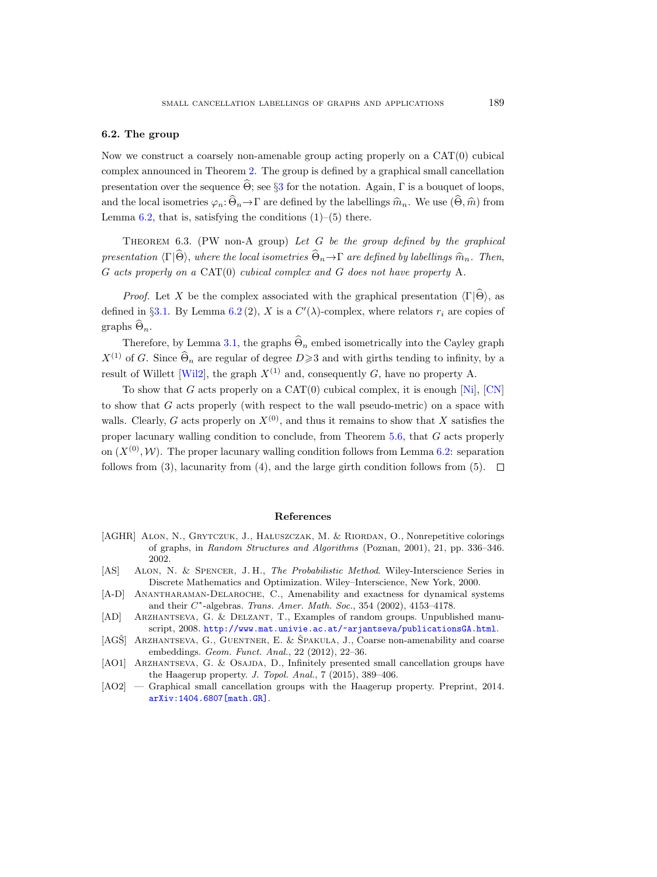#### 6.2. The group

Now we construct a coarsely non-amenable group acting properly on a  $CAT(0)$  cubical complex announced in Theorem [2.](#page-2-0) The group is defined by a graphical small cancellation presentation over the sequence  $\widehat{\Theta}$ ; see §[3](#page-16-0) for the notation. Again, Γ is a bouquet of loops, and the local isometries  $\varphi_n: \widehat{\Theta}_n \to \Gamma$  are defined by the labellings  $\widehat{m}_n$ . We use  $(\widehat{\Theta}, \widehat{m})$  from Lemma  $6.2$ , that is, satisfying the conditions  $(1)$ – $(5)$  there.

<span id="page-30-5"></span>THEOREM 6.3. (PW non-A group) Let G be the group defined by the graphical presentation  $\langle \Gamma | \widehat{\Theta} \rangle$ , where the local isometries  $\widehat{\Theta}_n \rightarrow \Gamma$  are defined by labellings  $\widehat{m}_n$ . Then, G acts properly on a CAT(0) cubical complex and G does not have property A.

*Proof.* Let X be the complex associated with the graphical presentation  $\langle \Gamma | \hat{\Theta} \rangle$ , as defined in §[3.1.](#page-16-2) By Lemma [6.2](#page-28-0)(2), X is a  $C'(\lambda)$ -complex, where relators  $r_i$  are copies of graphs  $\widehat{\Theta}_n$ .

Therefore, by Lemma [3.1,](#page-17-0) the graphs  $\widehat{\Theta}_n$  embed isometrically into the Cayley graph  $X^{(1)}$  of G. Since  $\widehat{\Theta}_n$  are regular of degree  $D\geqslant 3$  and with girths tending to infinity, by a result of Willett [\[Wil2\]](#page-32-4), the graph  $X^{(1)}$  and, consequently G, have no property A.

To show that G acts properly on a  $CAT(0)$  cubical complex, it is enough  $[Ni]$ ,  $[CN]$ to show that G acts properly (with respect to the wall pseudo-metric) on a space with walls. Clearly, G acts properly on  $X^{(0)}$ , and thus it remains to show that X satisfies the proper lacunary walling condition to conclude, from Theorem [5.6,](#page-25-0) that G acts properly on  $(X^{(0)}, W)$ . The proper lacunary walling condition follows from Lemma [6.2:](#page-28-0) separation follows from (3), lacunarity from (4), and the large girth condition follows from (5).  $\Box$ 

#### References

- <span id="page-30-1"></span>[AGHR] ALON, N., GRYTCZUK, J., HAŁUSZCZAK, M. & RIORDAN, O., Nonrepetitive colorings of graphs, in Random Structures and Algorithms (Poznan, 2001), 21, pp. 336–346. 2002.
- <span id="page-30-2"></span>[AS] ALON, N. & SPENCER, J. H., The Probabilistic Method. Wiley-Interscience Series in Discrete Mathematics and Optimization. Wiley–Interscience, New York, 2000.
- <span id="page-30-3"></span>[A-D] ANANTHARAMAN-DELAROCHE, C., Amenability and exactness for dynamical systems and their  $C^*$ -algebras. Trans. Amer. Math. Soc., 354 (2002), 4153-4178.
- <span id="page-30-0"></span>[AD] Arzhantseva, G. & Delzant, T., Examples of random groups. Unpublished manuscript, 2008. <http://www.mat.univie.ac.at/~arjantseva/publicationsGA.html>.
- <span id="page-30-6"></span>[AGŠ] ARZHANTSEVA, G., GUENTNER, E. & ŠPAKULA, J., Coarse non-amenability and coarse embeddings. Geom. Funct. Anal., 22 (2012), 22–36.
- <span id="page-30-7"></span>[AO1] ARZHANTSEVA, G. & OSAJDA, D., Infinitely presented small cancellation groups have the Haagerup property. J. Topol. Anal., 7 (2015), 389–406.
- <span id="page-30-4"></span>[AO2] — Graphical small cancellation groups with the Haagerup property. Preprint, 2014. [arXiv:1404.6807\[math.GR\]](http://arxiv.org/abs/1404.6807).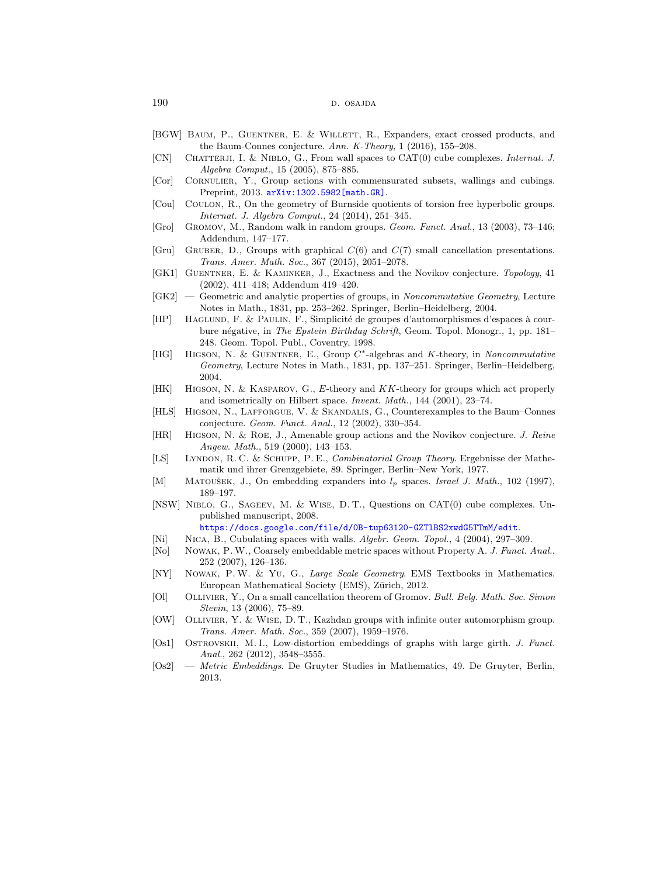- <span id="page-31-18"></span>[BGW] Baum, P., Guentner, E. & Willett, R., Expanders, exact crossed products, and the Baum-Connes conjecture. Ann. K-Theory, 1 (2016), 155–208.
- <span id="page-31-12"></span>[CN] CHATTERJI, I. & NIBLO, G., From wall spaces to CAT(0) cube complexes. *Internat. J.* Algebra Comput., 15 (2005), 875–885.
- <span id="page-31-13"></span>[Cor] Cornulier, Y., Group actions with commensurated subsets, wallings and cubings. Preprint, 2013. [arXiv:1302.5982\[math.GR\]](http://arxiv.org/abs/1302.5982).
- <span id="page-31-1"></span>[Cou] Coulon, R., On the geometry of Burnside quotients of torsion free hyperbolic groups. Internat. J. Algebra Comput., 24 (2014), 251–345.
- <span id="page-31-0"></span>[Gro] Gromov, M., Random walk in random groups. Geom. Funct. Anal., 13 (2003), 73–146; Addendum, 147–177.
- <span id="page-31-21"></span>[Gru] GRUBER, D., Groups with graphical  $C(6)$  and  $C(7)$  small cancellation presentations. Trans. Amer. Math. Soc., 367 (2015), 2051–2078.
- <span id="page-31-6"></span>[GK1] GUENTNER, E. & KAMINKER, J., Exactness and the Novikov conjecture. Topology, 41 (2002), 411–418; Addendum 419–420.
- <span id="page-31-8"></span>[GK2] — Geometric and analytic properties of groups, in Noncommutative Geometry, Lecture Notes in Math., 1831, pp. 253–262. Springer, Berlin–Heidelberg, 2004.
- <span id="page-31-10"></span>[HP] HAGLUND, F. & PAULIN, F., Simplicité de groupes d'automorphismes d'espaces à courbure négative, in The Epstein Birthday Schrift, Geom. Topol. Monogr., 1, pp. 181– 248. Geom. Topol. Publ., Coventry, 1998.
- <span id="page-31-7"></span>[HG] HIGSON, N. & GUENTNER, E., Group C<sup>\*</sup>-algebras and K-theory, in Noncommutative Geometry, Lecture Notes in Math., 1831, pp. 137–251. Springer, Berlin–Heidelberg, 2004.
- <span id="page-31-16"></span>[HK] Higson, N. & Kasparov, G., E-theory and KK-theory for groups which act properly and isometrically on Hilbert space. Invent. Math., 144 (2001), 23–74.
- <span id="page-31-17"></span>[HLS] Higson, N., Lafforgue, V. & Skandalis, G., Counterexamples to the Baum–Connes conjecture. Geom. Funct. Anal., 12 (2002), 330–354.
- <span id="page-31-5"></span>[HR] Higson, N. & Roe, J., Amenable group actions and the Novikov conjecture. J. Reine Angew. Math., 519 (2000), 143–153.
- <span id="page-31-20"></span>[LS] Lyndon, R. C. & Schupp, P. E., Combinatorial Group Theory. Ergebnisse der Mathematik und ihrer Grenzgebiete, 89. Springer, Berlin–New York, 1977.
- <span id="page-31-22"></span>[M] MATOUŠEK, J., On embedding expanders into  $l_p$  spaces. Israel J. Math., 102 (1997), 189–197.
- <span id="page-31-9"></span>[NSW] Niblo, G., Sageev, M. & Wise, D. T., Questions on CAT(0) cube complexes. Unpublished manuscript, 2008.

<https://docs.google.com/file/d/0B-tup63120-GZTlBS2xwdG5TTmM/edit>.

- <span id="page-31-11"></span>[Ni] Nica, B., Cubulating spaces with walls. Algebr. Geom. Topol., 4 (2004), 297–309.
- <span id="page-31-14"></span>[No] Nowak, P.W., Coarsely embeddable metric spaces without Property A. J. Funct. Anal., 252 (2007), 126–136.
- <span id="page-31-4"></span>[NY] Nowak, P.W. & Yu, G., Large Scale Geometry. EMS Textbooks in Mathematics. European Mathematical Society (EMS), Zürich, 2012.
- <span id="page-31-3"></span>[Ol] Ollivier, Y., On a small cancellation theorem of Gromov. Bull. Belg. Math. Soc. Simon Stevin, 13 (2006), 75–89.
- <span id="page-31-19"></span>[OW] Ollivier, Y. & Wise, D. T., Kazhdan groups with infinite outer automorphism group. Trans. Amer. Math. Soc., 359 (2007), 1959–1976.
- <span id="page-31-15"></span>[Os1] Ostrovskii, M. I., Low-distortion embeddings of graphs with large girth. J. Funct. Anal., 262 (2012), 3548–3555.
- <span id="page-31-2"></span>[Os2] — Metric Embeddings. De Gruyter Studies in Mathematics, 49. De Gruyter, Berlin, 2013.

<sup>190</sup> d. osajda d. osajda d. osajda d. osajda d. osajda d. osajda d. osajda d. osajda d. osajda d. osajda d. osa